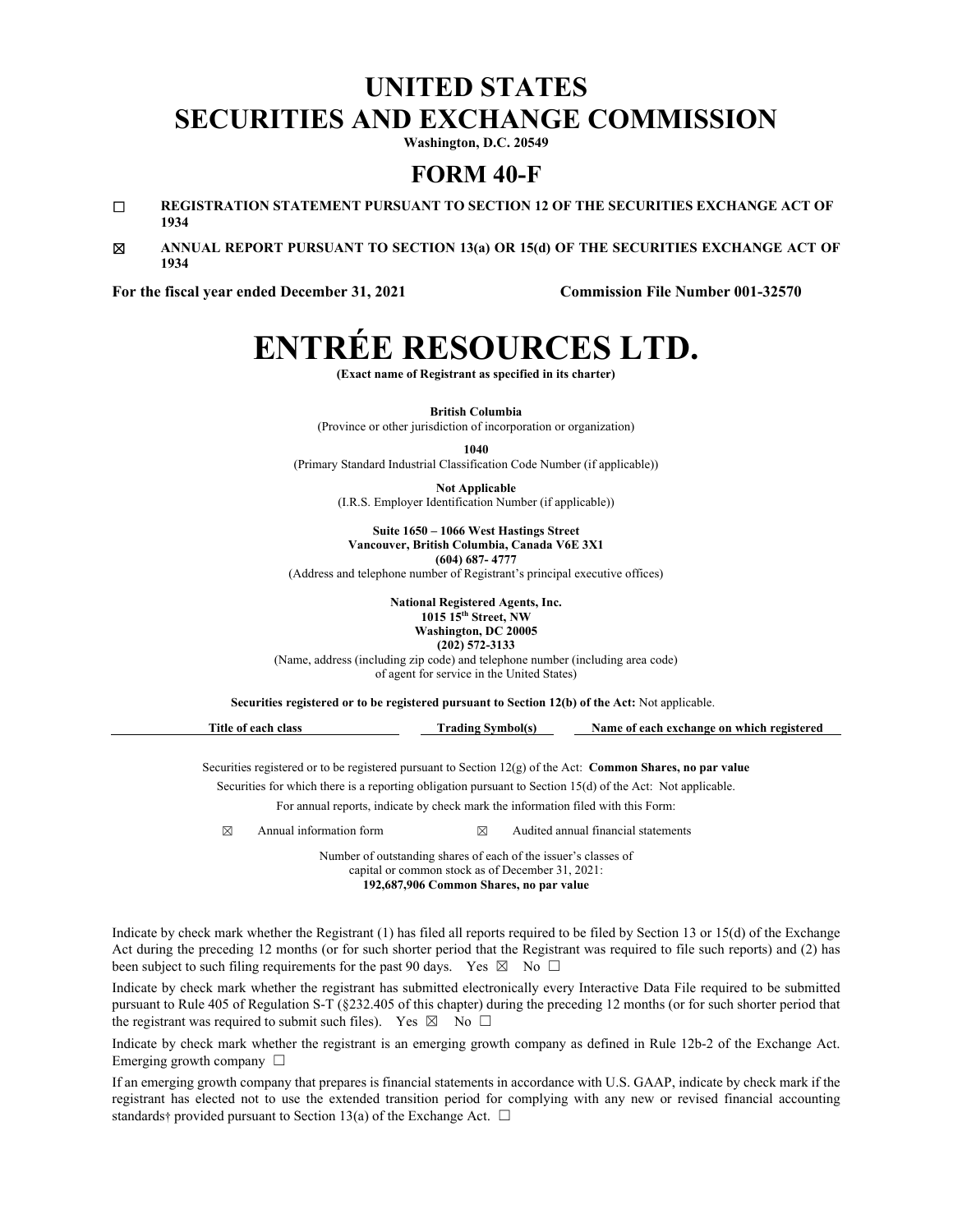## **UNITED STATES SECURITIES AND EXCHANGE COMMISSION**

**Washington, D.C. 20549** 

### **FORM 40-F**

- ☐ **REGISTRATION STATEMENT PURSUANT TO SECTION 12 OF THE SECURITIES EXCHANGE ACT OF 1934**
- ☒ **ANNUAL REPORT PURSUANT TO SECTION 13(a) OR 15(d) OF THE SECURITIES EXCHANGE ACT OF 1934**

**For the fiscal year ended December 31, 2021 Commission File Number 001-32570** 

## **ENTRÉE RESOURCES LTD.**

**(Exact name of Registrant as specified in its charter)** 

**British Columbia**  (Province or other jurisdiction of incorporation or organization)

**1040** 

(Primary Standard Industrial Classification Code Number (if applicable))

**Not Applicable**  (I.R.S. Employer Identification Number (if applicable))

**Suite 1650 – 1066 West Hastings Street Vancouver, British Columbia, Canada V6E 3X1 (604) 687- 4777** 

(Address and telephone number of Registrant's principal executive offices)

**National Registered Agents, Inc. 1015 15th Street, NW Washington, DC 20005 (202) 572-3133** 

(Name, address (including zip code) and telephone number (including area code) of agent for service in the United States)

**Securities registered or to be registered pursuant to Section 12(b) of the Act:** Not applicable.

| Title<br>each class<br>: 01 | **rading Symbol(s) | Name of each exchange on which registered |
|-----------------------------|--------------------|-------------------------------------------|
|                             |                    |                                           |

Securities registered or to be registered pursuant to Section 12(g) of the Act: **Common Shares, no par value** Securities for which there is a reporting obligation pursuant to Section 15(d) of the Act: Not applicable.

For annual reports, indicate by check mark the information filed with this Form:

 $\boxtimes$  Annual information form  $\boxtimes$  Audited annual financial statements

Number of outstanding shares of each of the issuer's classes of capital or common stock as of December 31, 2021: **192,687,906 Common Shares, no par value** 

Indicate by check mark whether the Registrant (1) has filed all reports required to be filed by Section 13 or 15(d) of the Exchange Act during the preceding 12 months (or for such shorter period that the Registrant was required to file such reports) and (2) has been subject to such filing requirements for the past 90 days. Yes  $\boxtimes$  No  $\Box$ 

Indicate by check mark whether the registrant has submitted electronically every Interactive Data File required to be submitted pursuant to Rule 405 of Regulation S-T (§232.405 of this chapter) during the preceding 12 months (or for such shorter period that the registrant was required to submit such files). Yes  $\boxtimes$  No  $\Box$ 

Indicate by check mark whether the registrant is an emerging growth company as defined in Rule 12b-2 of the Exchange Act. Emerging growth company  $\Box$ 

If an emerging growth company that prepares is financial statements in accordance with U.S. GAAP, indicate by check mark if the registrant has elected not to use the extended transition period for complying with any new or revised financial accounting standards† provided pursuant to Section 13(a) of the Exchange Act.  $\Box$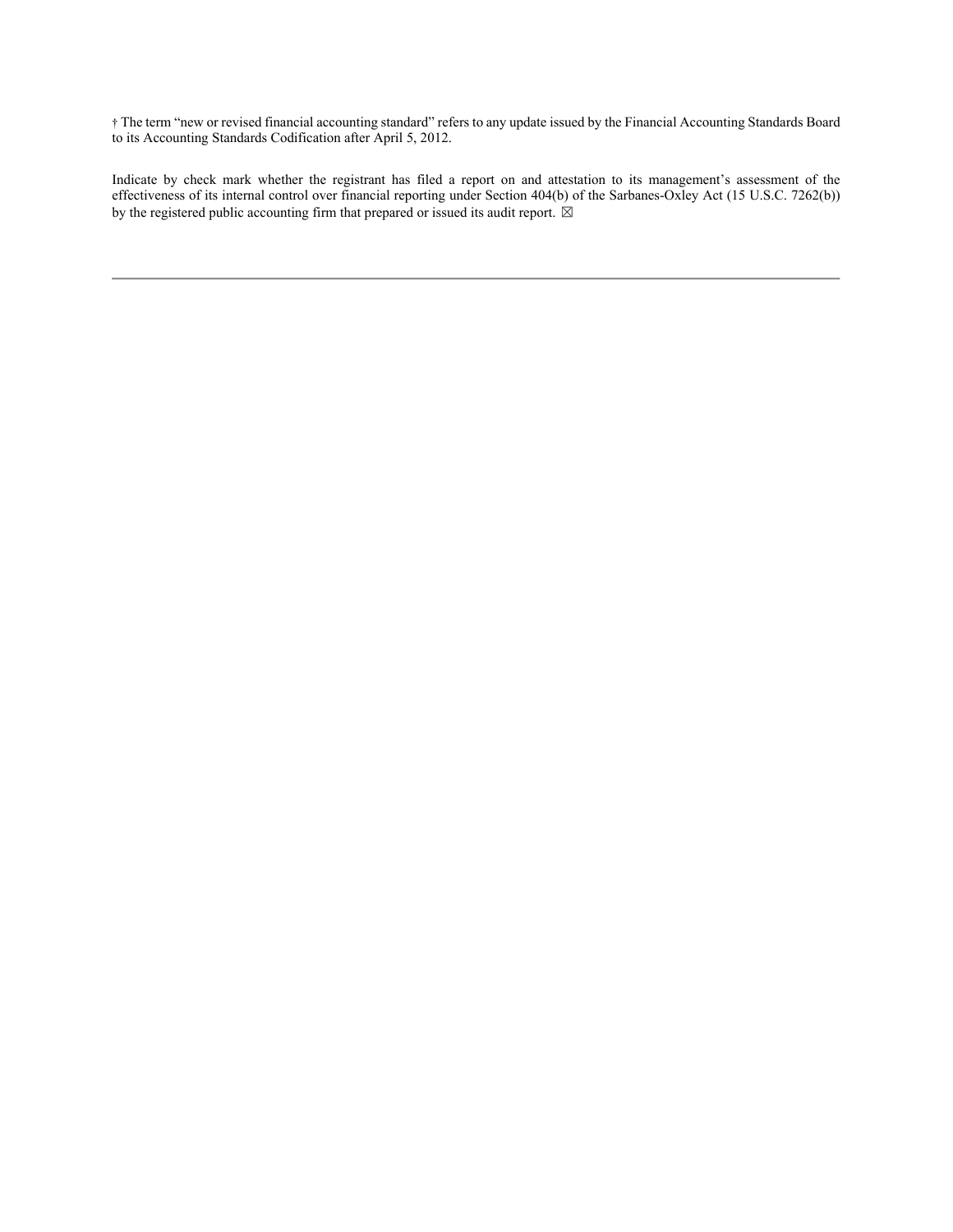† The term "new or revised financial accounting standard" refers to any update issued by the Financial Accounting Standards Board to its Accounting Standards Codification after April 5, 2012.

Indicate by check mark whether the registrant has filed a report on and attestation to its management's assessment of the effectiveness of its internal control over financial reporting under Section 404(b) of the Sarbanes-Oxley Act (15 U.S.C. 7262(b)) by the registered public accounting firm that prepared or issued its audit report.  $\boxtimes$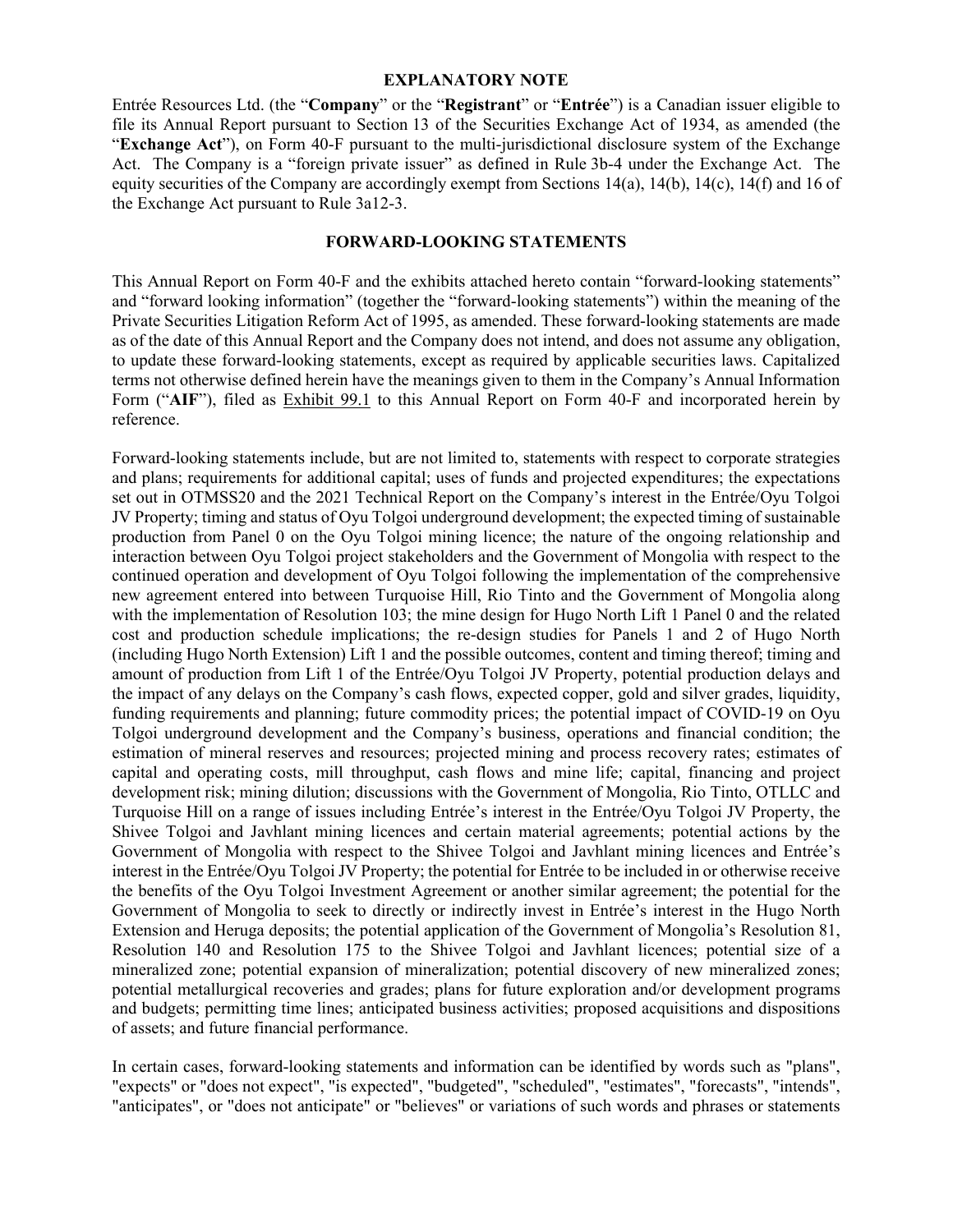#### **EXPLANATORY NOTE**

Entrée Resources Ltd. (the "**Company**" or the "**Registrant**" or "**Entrée**") is a Canadian issuer eligible to file its Annual Report pursuant to Section 13 of the Securities Exchange Act of 1934, as amended (the "**Exchange Act**"), on Form 40-F pursuant to the multi-jurisdictional disclosure system of the Exchange Act. The Company is a "foreign private issuer" as defined in Rule 3b-4 under the Exchange Act. The equity securities of the Company are accordingly exempt from Sections 14(a), 14(b), 14(c), 14(f) and 16 of the Exchange Act pursuant to Rule 3a12-3.

#### **FORWARD-LOOKING STATEMENTS**

This Annual Report on Form 40-F and the exhibits attached hereto contain "forward-looking statements" and "forward looking information" (together the "forward-looking statements") within the meaning of the Private Securities Litigation Reform Act of 1995, as amended. These forward-looking statements are made as of the date of this Annual Report and the Company does not intend, and does not assume any obligation, to update these forward-looking statements, except as required by applicable securities laws. Capitalized terms not otherwise defined herein have the meanings given to them in the Company's Annual Information Form ("**AIF**"), filed as Exhibit 99.1 to this Annual Report on Form 40-F and incorporated herein by reference.

Forward-looking statements include, but are not limited to, statements with respect to corporate strategies and plans; requirements for additional capital; uses of funds and projected expenditures; the expectations set out in OTMSS20 and the 2021 Technical Report on the Company's interest in the Entrée/Oyu Tolgoi JV Property; timing and status of Oyu Tolgoi underground development; the expected timing of sustainable production from Panel 0 on the Oyu Tolgoi mining licence; the nature of the ongoing relationship and interaction between Oyu Tolgoi project stakeholders and the Government of Mongolia with respect to the continued operation and development of Oyu Tolgoi following the implementation of the comprehensive new agreement entered into between Turquoise Hill, Rio Tinto and the Government of Mongolia along with the implementation of Resolution 103; the mine design for Hugo North Lift 1 Panel 0 and the related cost and production schedule implications; the re-design studies for Panels 1 and 2 of Hugo North (including Hugo North Extension) Lift 1 and the possible outcomes, content and timing thereof; timing and amount of production from Lift 1 of the Entrée/Oyu Tolgoi JV Property, potential production delays and the impact of any delays on the Company's cash flows, expected copper, gold and silver grades, liquidity, funding requirements and planning; future commodity prices; the potential impact of COVID-19 on Oyu Tolgoi underground development and the Company's business, operations and financial condition; the estimation of mineral reserves and resources; projected mining and process recovery rates; estimates of capital and operating costs, mill throughput, cash flows and mine life; capital, financing and project development risk; mining dilution; discussions with the Government of Mongolia, Rio Tinto, OTLLC and Turquoise Hill on a range of issues including Entrée's interest in the Entrée/Oyu Tolgoi JV Property, the Shivee Tolgoi and Javhlant mining licences and certain material agreements; potential actions by the Government of Mongolia with respect to the Shivee Tolgoi and Javhlant mining licences and Entrée's interest in the Entrée/Oyu Tolgoi JV Property; the potential for Entrée to be included in or otherwise receive the benefits of the Oyu Tolgoi Investment Agreement or another similar agreement; the potential for the Government of Mongolia to seek to directly or indirectly invest in Entrée's interest in the Hugo North Extension and Heruga deposits; the potential application of the Government of Mongolia's Resolution 81, Resolution 140 and Resolution 175 to the Shivee Tolgoi and Javhlant licences; potential size of a mineralized zone; potential expansion of mineralization; potential discovery of new mineralized zones; potential metallurgical recoveries and grades; plans for future exploration and/or development programs and budgets; permitting time lines; anticipated business activities; proposed acquisitions and dispositions of assets; and future financial performance.

In certain cases, forward-looking statements and information can be identified by words such as "plans", "expects" or "does not expect", "is expected", "budgeted", "scheduled", "estimates", "forecasts", "intends", "anticipates", or "does not anticipate" or "believes" or variations of such words and phrases or statements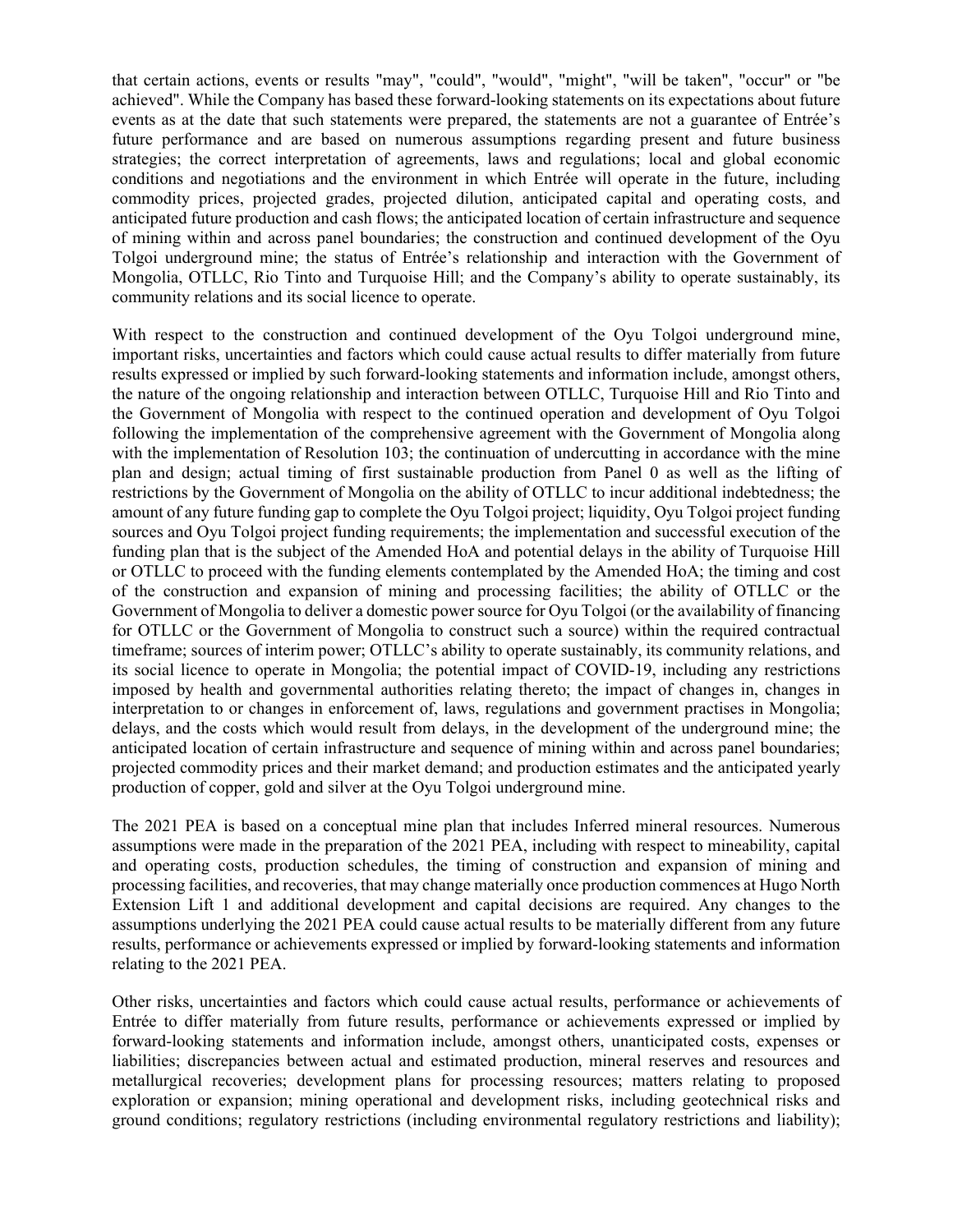that certain actions, events or results "may", "could", "would", "might", "will be taken", "occur" or "be achieved". While the Company has based these forward-looking statements on its expectations about future events as at the date that such statements were prepared, the statements are not a guarantee of Entrée's future performance and are based on numerous assumptions regarding present and future business strategies; the correct interpretation of agreements, laws and regulations; local and global economic conditions and negotiations and the environment in which Entrée will operate in the future, including commodity prices, projected grades, projected dilution, anticipated capital and operating costs, and anticipated future production and cash flows; the anticipated location of certain infrastructure and sequence of mining within and across panel boundaries; the construction and continued development of the Oyu Tolgoi underground mine; the status of Entrée's relationship and interaction with the Government of Mongolia, OTLLC, Rio Tinto and Turquoise Hill; and the Company's ability to operate sustainably, its community relations and its social licence to operate.

With respect to the construction and continued development of the Oyu Tolgoi underground mine, important risks, uncertainties and factors which could cause actual results to differ materially from future results expressed or implied by such forward-looking statements and information include, amongst others, the nature of the ongoing relationship and interaction between OTLLC, Turquoise Hill and Rio Tinto and the Government of Mongolia with respect to the continued operation and development of Oyu Tolgoi following the implementation of the comprehensive agreement with the Government of Mongolia along with the implementation of Resolution 103; the continuation of undercutting in accordance with the mine plan and design; actual timing of first sustainable production from Panel 0 as well as the lifting of restrictions by the Government of Mongolia on the ability of OTLLC to incur additional indebtedness; the amount of any future funding gap to complete the Oyu Tolgoi project; liquidity, Oyu Tolgoi project funding sources and Oyu Tolgoi project funding requirements; the implementation and successful execution of the funding plan that is the subject of the Amended HoA and potential delays in the ability of Turquoise Hill or OTLLC to proceed with the funding elements contemplated by the Amended HoA; the timing and cost of the construction and expansion of mining and processing facilities; the ability of OTLLC or the Government of Mongolia to deliver a domestic power source for Oyu Tolgoi (or the availability of financing for OTLLC or the Government of Mongolia to construct such a source) within the required contractual timeframe; sources of interim power; OTLLC's ability to operate sustainably, its community relations, and its social licence to operate in Mongolia; the potential impact of COVID-19, including any restrictions imposed by health and governmental authorities relating thereto; the impact of changes in, changes in interpretation to or changes in enforcement of, laws, regulations and government practises in Mongolia; delays, and the costs which would result from delays, in the development of the underground mine; the anticipated location of certain infrastructure and sequence of mining within and across panel boundaries; projected commodity prices and their market demand; and production estimates and the anticipated yearly production of copper, gold and silver at the Oyu Tolgoi underground mine.

The 2021 PEA is based on a conceptual mine plan that includes Inferred mineral resources. Numerous assumptions were made in the preparation of the 2021 PEA, including with respect to mineability, capital and operating costs, production schedules, the timing of construction and expansion of mining and processing facilities, and recoveries, that may change materially once production commences at Hugo North Extension Lift 1 and additional development and capital decisions are required. Any changes to the assumptions underlying the 2021 PEA could cause actual results to be materially different from any future results, performance or achievements expressed or implied by forward-looking statements and information relating to the 2021 PEA.

Other risks, uncertainties and factors which could cause actual results, performance or achievements of Entrée to differ materially from future results, performance or achievements expressed or implied by forward-looking statements and information include, amongst others, unanticipated costs, expenses or liabilities; discrepancies between actual and estimated production, mineral reserves and resources and metallurgical recoveries; development plans for processing resources; matters relating to proposed exploration or expansion; mining operational and development risks, including geotechnical risks and ground conditions; regulatory restrictions (including environmental regulatory restrictions and liability);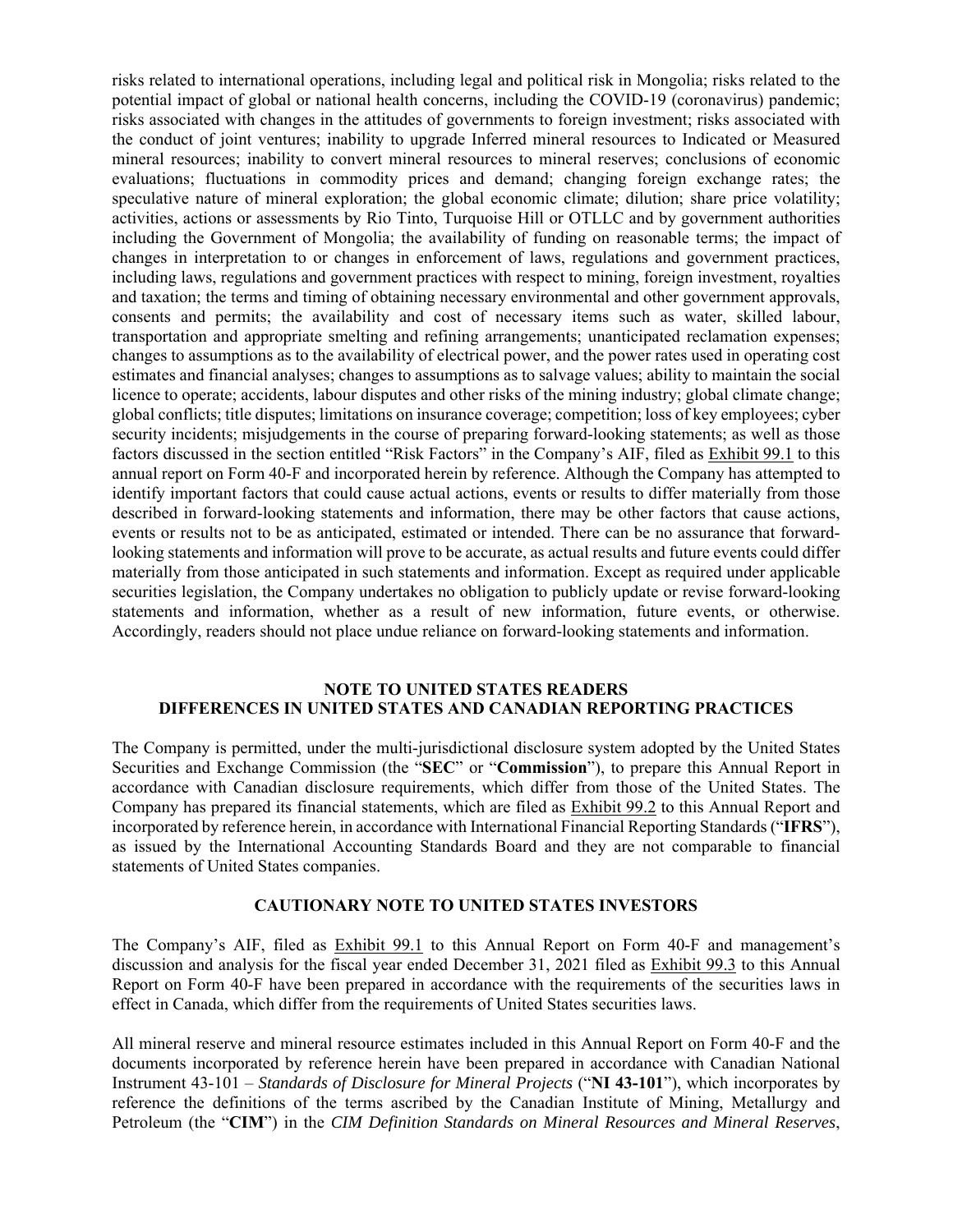risks related to international operations, including legal and political risk in Mongolia; risks related to the potential impact of global or national health concerns, including the COVID-19 (coronavirus) pandemic; risks associated with changes in the attitudes of governments to foreign investment; risks associated with the conduct of joint ventures; inability to upgrade Inferred mineral resources to Indicated or Measured mineral resources; inability to convert mineral resources to mineral reserves; conclusions of economic evaluations; fluctuations in commodity prices and demand; changing foreign exchange rates; the speculative nature of mineral exploration; the global economic climate; dilution; share price volatility; activities, actions or assessments by Rio Tinto, Turquoise Hill or OTLLC and by government authorities including the Government of Mongolia; the availability of funding on reasonable terms; the impact of changes in interpretation to or changes in enforcement of laws, regulations and government practices, including laws, regulations and government practices with respect to mining, foreign investment, royalties and taxation; the terms and timing of obtaining necessary environmental and other government approvals, consents and permits; the availability and cost of necessary items such as water, skilled labour, transportation and appropriate smelting and refining arrangements; unanticipated reclamation expenses; changes to assumptions as to the availability of electrical power, and the power rates used in operating cost estimates and financial analyses; changes to assumptions as to salvage values; ability to maintain the social licence to operate; accidents, labour disputes and other risks of the mining industry; global climate change; global conflicts; title disputes; limitations on insurance coverage; competition; loss of key employees; cyber security incidents; misjudgements in the course of preparing forward-looking statements; as well as those factors discussed in the section entitled "Risk Factors" in the Company's AIF, filed as Exhibit 99.1 to this annual report on Form 40-F and incorporated herein by reference. Although the Company has attempted to identify important factors that could cause actual actions, events or results to differ materially from those described in forward-looking statements and information, there may be other factors that cause actions, events or results not to be as anticipated, estimated or intended. There can be no assurance that forwardlooking statements and information will prove to be accurate, as actual results and future events could differ materially from those anticipated in such statements and information. Except as required under applicable securities legislation, the Company undertakes no obligation to publicly update or revise forward-looking statements and information, whether as a result of new information, future events, or otherwise. Accordingly, readers should not place undue reliance on forward-looking statements and information.

#### **NOTE TO UNITED STATES READERS DIFFERENCES IN UNITED STATES AND CANADIAN REPORTING PRACTICES**

The Company is permitted, under the multi-jurisdictional disclosure system adopted by the United States Securities and Exchange Commission (the "**SEC**" or "**Commission**"), to prepare this Annual Report in accordance with Canadian disclosure requirements, which differ from those of the United States. The Company has prepared its financial statements, which are filed as Exhibit 99.2 to this Annual Report and incorporated by reference herein, in accordance with International Financial Reporting Standards ("**IFRS**"), as issued by the International Accounting Standards Board and they are not comparable to financial statements of United States companies.

#### **CAUTIONARY NOTE TO UNITED STATES INVESTORS**

The Company's AIF, filed as Exhibit 99.1 to this Annual Report on Form 40-F and management's discussion and analysis for the fiscal year ended December 31, 2021 filed as Exhibit 99.3 to this Annual Report on Form 40-F have been prepared in accordance with the requirements of the securities laws in effect in Canada, which differ from the requirements of United States securities laws.

All mineral reserve and mineral resource estimates included in this Annual Report on Form 40-F and the documents incorporated by reference herein have been prepared in accordance with Canadian National Instrument 43-101 – *Standards of Disclosure for Mineral Projects* ("**NI 43-101**"), which incorporates by reference the definitions of the terms ascribed by the Canadian Institute of Mining, Metallurgy and Petroleum (the "**CIM**") in the *CIM Definition Standards on Mineral Resources and Mineral Reserves*,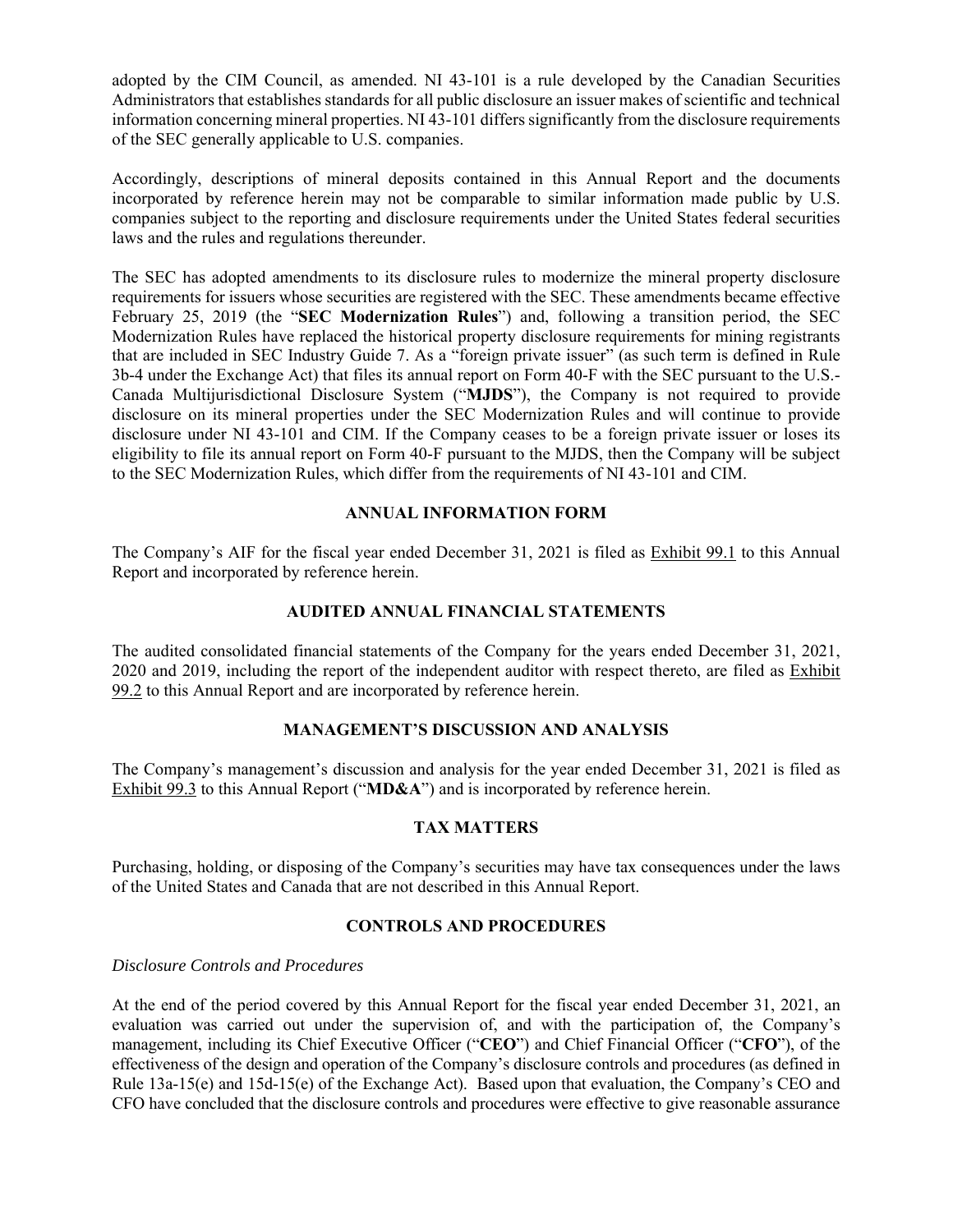adopted by the CIM Council, as amended. NI 43-101 is a rule developed by the Canadian Securities Administrators that establishes standards for all public disclosure an issuer makes of scientific and technical information concerning mineral properties. NI 43-101 differs significantly from the disclosure requirements of the SEC generally applicable to U.S. companies.

Accordingly, descriptions of mineral deposits contained in this Annual Report and the documents incorporated by reference herein may not be comparable to similar information made public by U.S. companies subject to the reporting and disclosure requirements under the United States federal securities laws and the rules and regulations thereunder.

The SEC has adopted amendments to its disclosure rules to modernize the mineral property disclosure requirements for issuers whose securities are registered with the SEC. These amendments became effective February 25, 2019 (the "**SEC Modernization Rules**") and, following a transition period, the SEC Modernization Rules have replaced the historical property disclosure requirements for mining registrants that are included in SEC Industry Guide 7. As a "foreign private issuer" (as such term is defined in Rule 3b-4 under the Exchange Act) that files its annual report on Form 40-F with the SEC pursuant to the U.S.- Canada Multijurisdictional Disclosure System ("**MJDS**"), the Company is not required to provide disclosure on its mineral properties under the SEC Modernization Rules and will continue to provide disclosure under NI 43-101 and CIM. If the Company ceases to be a foreign private issuer or loses its eligibility to file its annual report on Form 40-F pursuant to the MJDS, then the Company will be subject to the SEC Modernization Rules, which differ from the requirements of NI 43-101 and CIM.

#### **ANNUAL INFORMATION FORM**

The Company's AIF for the fiscal year ended December 31, 2021 is filed as Exhibit 99.1 to this Annual Report and incorporated by reference herein.

#### **AUDITED ANNUAL FINANCIAL STATEMENTS**

The audited consolidated financial statements of the Company for the years ended December 31, 2021, 2020 and 2019, including the report of the independent auditor with respect thereto, are filed as Exhibit 99.2 to this Annual Report and are incorporated by reference herein.

#### **MANAGEMENT'S DISCUSSION AND ANALYSIS**

The Company's management's discussion and analysis for the year ended December 31, 2021 is filed as Exhibit 99.3 to this Annual Report ("**MD&A**") and is incorporated by reference herein.

#### **TAX MATTERS**

Purchasing, holding, or disposing of the Company's securities may have tax consequences under the laws of the United States and Canada that are not described in this Annual Report.

#### **CONTROLS AND PROCEDURES**

#### *Disclosure Controls and Procedures*

At the end of the period covered by this Annual Report for the fiscal year ended December 31, 2021, an evaluation was carried out under the supervision of, and with the participation of, the Company's management, including its Chief Executive Officer ("**CEO**") and Chief Financial Officer ("**CFO**"), of the effectiveness of the design and operation of the Company's disclosure controls and procedures (as defined in Rule 13a-15(e) and 15d-15(e) of the Exchange Act). Based upon that evaluation, the Company's CEO and CFO have concluded that the disclosure controls and procedures were effective to give reasonable assurance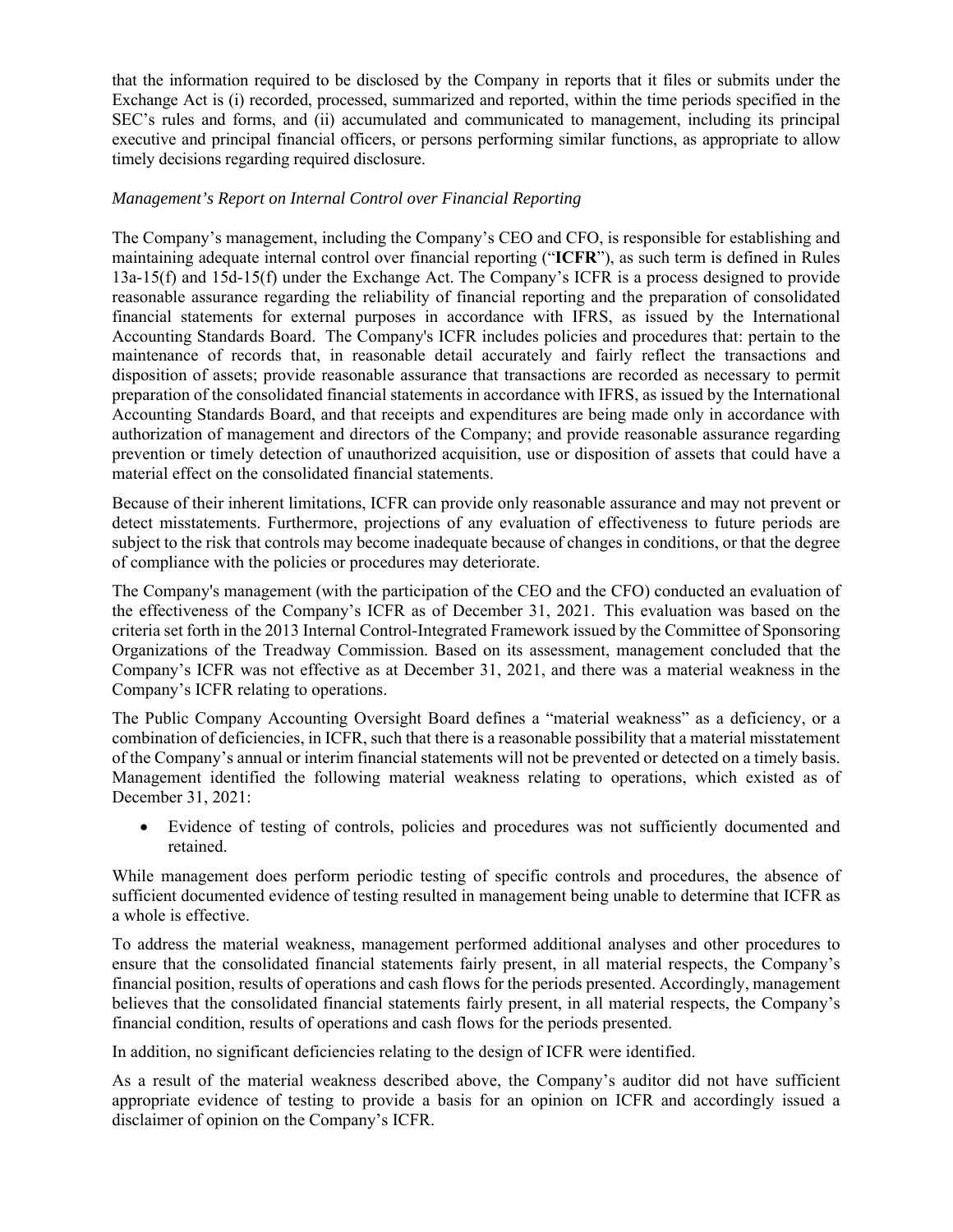that the information required to be disclosed by the Company in reports that it files or submits under the Exchange Act is (i) recorded, processed, summarized and reported, within the time periods specified in the SEC's rules and forms, and (ii) accumulated and communicated to management, including its principal executive and principal financial officers, or persons performing similar functions, as appropriate to allow timely decisions regarding required disclosure.

#### *Management's Report on Internal Control over Financial Reporting*

The Company's management, including the Company's CEO and CFO, is responsible for establishing and maintaining adequate internal control over financial reporting ("**ICFR**"), as such term is defined in Rules 13a-15(f) and 15d-15(f) under the Exchange Act. The Company's ICFR is a process designed to provide reasonable assurance regarding the reliability of financial reporting and the preparation of consolidated financial statements for external purposes in accordance with IFRS, as issued by the International Accounting Standards Board. The Company's ICFR includes policies and procedures that: pertain to the maintenance of records that, in reasonable detail accurately and fairly reflect the transactions and disposition of assets; provide reasonable assurance that transactions are recorded as necessary to permit preparation of the consolidated financial statements in accordance with IFRS, as issued by the International Accounting Standards Board, and that receipts and expenditures are being made only in accordance with authorization of management and directors of the Company; and provide reasonable assurance regarding prevention or timely detection of unauthorized acquisition, use or disposition of assets that could have a material effect on the consolidated financial statements.

Because of their inherent limitations, ICFR can provide only reasonable assurance and may not prevent or detect misstatements. Furthermore, projections of any evaluation of effectiveness to future periods are subject to the risk that controls may become inadequate because of changes in conditions, or that the degree of compliance with the policies or procedures may deteriorate.

The Company's management (with the participation of the CEO and the CFO) conducted an evaluation of the effectiveness of the Company's ICFR as of December 31, 2021. This evaluation was based on the criteria set forth in the 2013 Internal Control-Integrated Framework issued by the Committee of Sponsoring Organizations of the Treadway Commission. Based on its assessment, management concluded that the Company's ICFR was not effective as at December 31, 2021, and there was a material weakness in the Company's ICFR relating to operations.

The Public Company Accounting Oversight Board defines a "material weakness" as a deficiency, or a combination of deficiencies, in ICFR, such that there is a reasonable possibility that a material misstatement of the Company's annual or interim financial statements will not be prevented or detected on a timely basis. Management identified the following material weakness relating to operations, which existed as of December 31, 2021:

 Evidence of testing of controls, policies and procedures was not sufficiently documented and retained.

While management does perform periodic testing of specific controls and procedures, the absence of sufficient documented evidence of testing resulted in management being unable to determine that ICFR as a whole is effective.

To address the material weakness, management performed additional analyses and other procedures to ensure that the consolidated financial statements fairly present, in all material respects, the Company's financial position, results of operations and cash flows for the periods presented. Accordingly, management believes that the consolidated financial statements fairly present, in all material respects, the Company's financial condition, results of operations and cash flows for the periods presented.

In addition, no significant deficiencies relating to the design of ICFR were identified.

As a result of the material weakness described above, the Company's auditor did not have sufficient appropriate evidence of testing to provide a basis for an opinion on ICFR and accordingly issued a disclaimer of opinion on the Company's ICFR.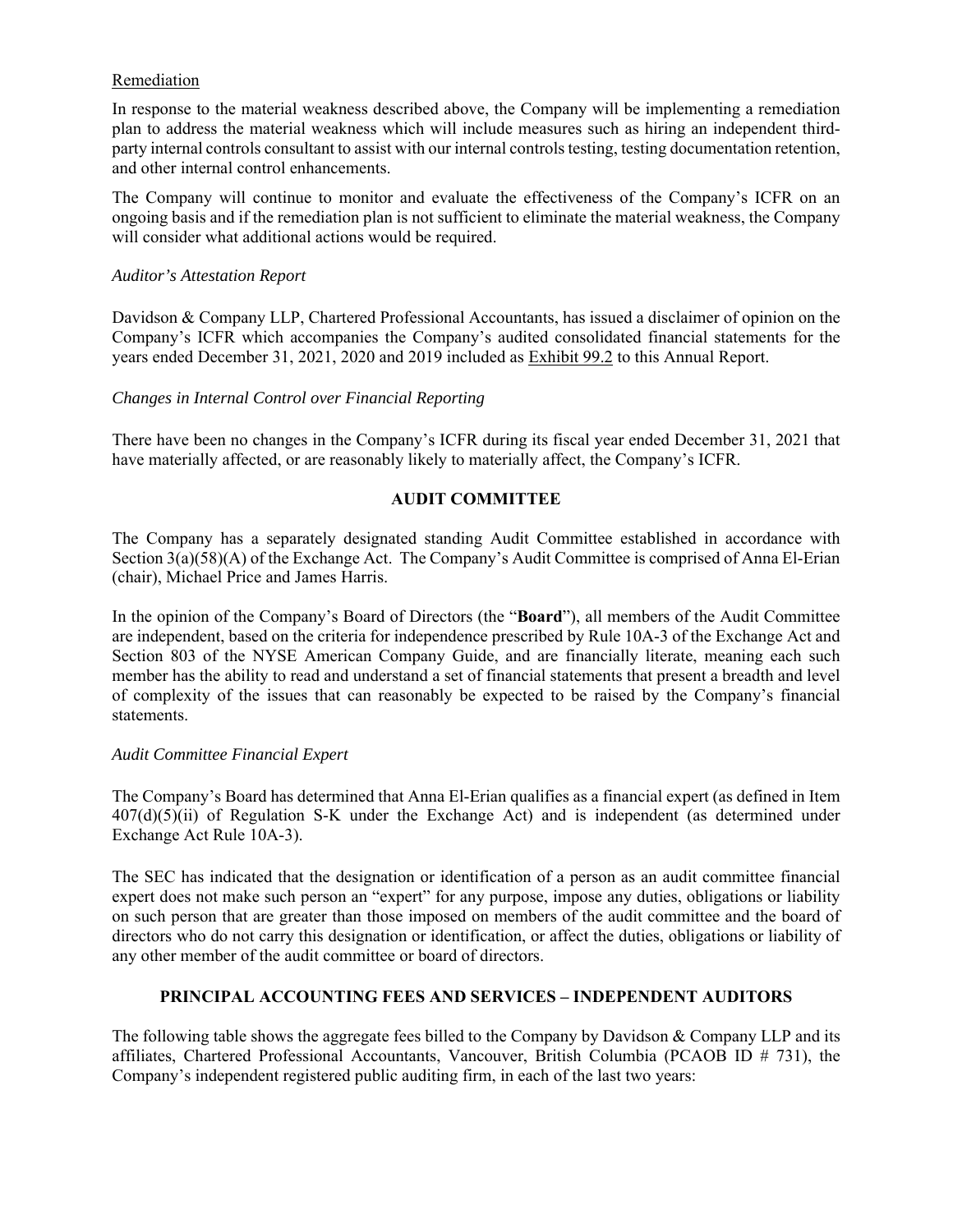#### Remediation

In response to the material weakness described above, the Company will be implementing a remediation plan to address the material weakness which will include measures such as hiring an independent thirdparty internal controls consultant to assist with our internal controls testing, testing documentation retention, and other internal control enhancements.

The Company will continue to monitor and evaluate the effectiveness of the Company's ICFR on an ongoing basis and if the remediation plan is not sufficient to eliminate the material weakness, the Company will consider what additional actions would be required.

#### *Auditor's Attestation Report*

Davidson & Company LLP, Chartered Professional Accountants, has issued a disclaimer of opinion on the Company's ICFR which accompanies the Company's audited consolidated financial statements for the years ended December 31, 2021, 2020 and 2019 included as Exhibit 99.2 to this Annual Report.

#### *Changes in Internal Control over Financial Reporting*

There have been no changes in the Company's ICFR during its fiscal year ended December 31, 2021 that have materially affected, or are reasonably likely to materially affect, the Company's ICFR.

#### **AUDIT COMMITTEE**

The Company has a separately designated standing Audit Committee established in accordance with Section 3(a)(58)(A) of the Exchange Act. The Company's Audit Committee is comprised of Anna El-Erian (chair), Michael Price and James Harris.

In the opinion of the Company's Board of Directors (the "**Board**"), all members of the Audit Committee are independent, based on the criteria for independence prescribed by Rule 10A-3 of the Exchange Act and Section 803 of the NYSE American Company Guide, and are financially literate, meaning each such member has the ability to read and understand a set of financial statements that present a breadth and level of complexity of the issues that can reasonably be expected to be raised by the Company's financial statements.

#### *Audit Committee Financial Expert*

The Company's Board has determined that Anna El-Erian qualifies as a financial expert (as defined in Item 407(d)(5)(ii) of Regulation S-K under the Exchange Act) and is independent (as determined under Exchange Act Rule 10A-3).

The SEC has indicated that the designation or identification of a person as an audit committee financial expert does not make such person an "expert" for any purpose, impose any duties, obligations or liability on such person that are greater than those imposed on members of the audit committee and the board of directors who do not carry this designation or identification, or affect the duties, obligations or liability of any other member of the audit committee or board of directors.

#### **PRINCIPAL ACCOUNTING FEES AND SERVICES – INDEPENDENT AUDITORS**

The following table shows the aggregate fees billed to the Company by Davidson & Company LLP and its affiliates, Chartered Professional Accountants, Vancouver, British Columbia (PCAOB ID # 731), the Company's independent registered public auditing firm, in each of the last two years: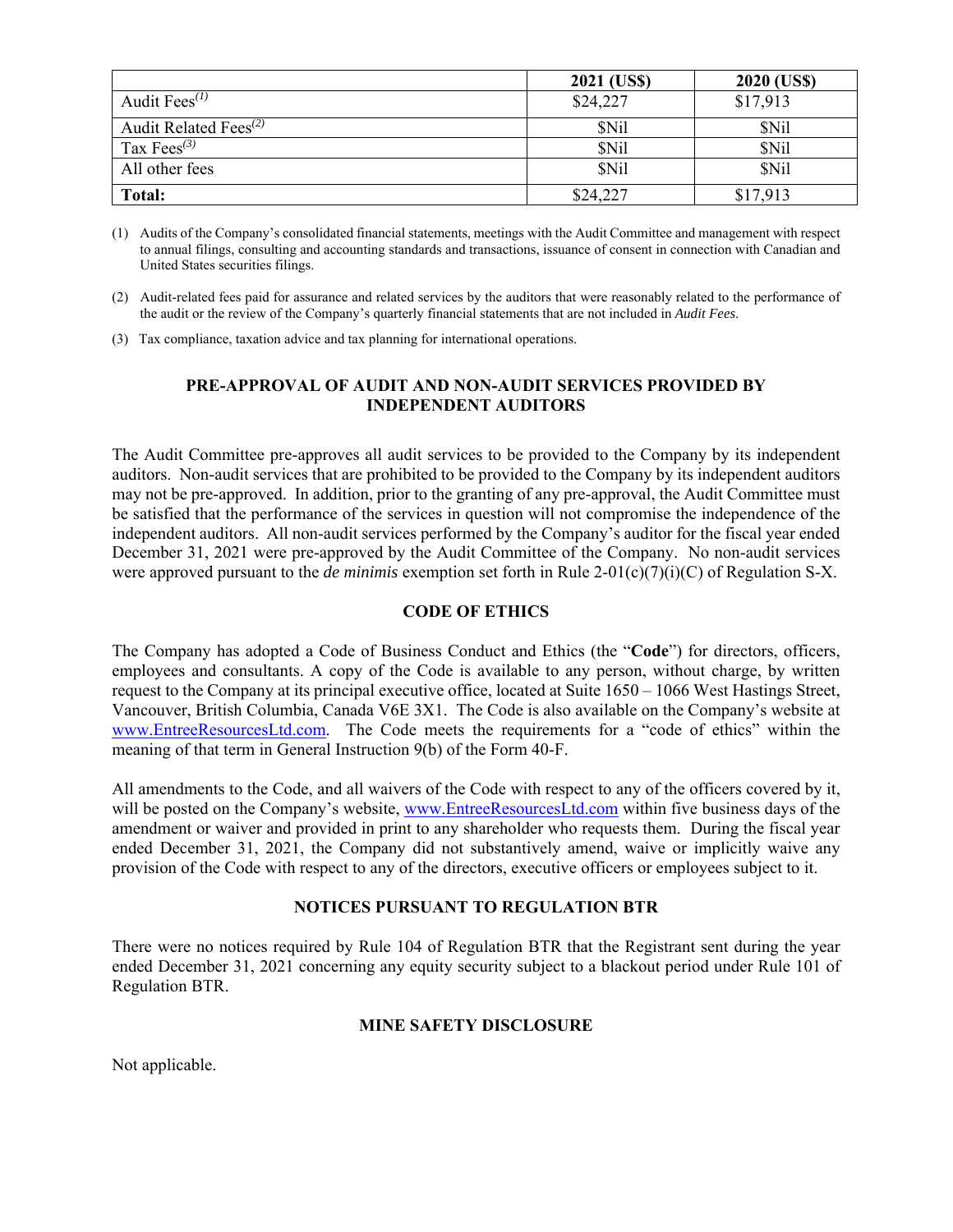|                                                | 2021 (US\$) | 2020 (US\$) |
|------------------------------------------------|-------------|-------------|
| Audit $Fees^{(1)}$                             | \$24,227    | \$17,913    |
| Audit Related Fees <sup><math>(2)</math></sup> | \$Nil       | <b>SNil</b> |
| Tax Fees <sup><math>(3)</math></sup>           | \$Nil       | <b>SNil</b> |
| All other fees                                 | \$Nil       | <b>SNil</b> |
| Total:                                         | \$24,227    | \$17,913    |

(1) Audits of the Company's consolidated financial statements, meetings with the Audit Committee and management with respect to annual filings, consulting and accounting standards and transactions, issuance of consent in connection with Canadian and United States securities filings.

(3) Tax compliance, taxation advice and tax planning for international operations.

#### **PRE-APPROVAL OF AUDIT AND NON-AUDIT SERVICES PROVIDED BY INDEPENDENT AUDITORS**

The Audit Committee pre-approves all audit services to be provided to the Company by its independent auditors. Non-audit services that are prohibited to be provided to the Company by its independent auditors may not be pre-approved. In addition, prior to the granting of any pre-approval, the Audit Committee must be satisfied that the performance of the services in question will not compromise the independence of the independent auditors. All non-audit services performed by the Company's auditor for the fiscal year ended December 31, 2021 were pre-approved by the Audit Committee of the Company. No non-audit services were approved pursuant to the *de minimis* exemption set forth in Rule 2-01(c)(7)(i)(C) of Regulation S-X.

#### **CODE OF ETHICS**

The Company has adopted a Code of Business Conduct and Ethics (the "**Code**") for directors, officers, employees and consultants. A copy of the Code is available to any person, without charge, by written request to the Company at its principal executive office, located at Suite 1650 – 1066 West Hastings Street, Vancouver, British Columbia, Canada V6E 3X1. The Code is also available on the Company's website at www.EntreeResourcesLtd.com. The Code meets the requirements for a "code of ethics" within the meaning of that term in General Instruction 9(b) of the Form 40-F.

All amendments to the Code, and all waivers of the Code with respect to any of the officers covered by it, will be posted on the Company's website, www.EntreeResourcesLtd.com within five business days of the amendment or waiver and provided in print to any shareholder who requests them. During the fiscal year ended December 31, 2021, the Company did not substantively amend, waive or implicitly waive any provision of the Code with respect to any of the directors, executive officers or employees subject to it.

#### **NOTICES PURSUANT TO REGULATION BTR**

There were no notices required by Rule 104 of Regulation BTR that the Registrant sent during the year ended December 31, 2021 concerning any equity security subject to a blackout period under Rule 101 of Regulation BTR.

#### **MINE SAFETY DISCLOSURE**

Not applicable.

<sup>(2)</sup> Audit-related fees paid for assurance and related services by the auditors that were reasonably related to the performance of the audit or the review of the Company's quarterly financial statements that are not included in *Audit Fees*.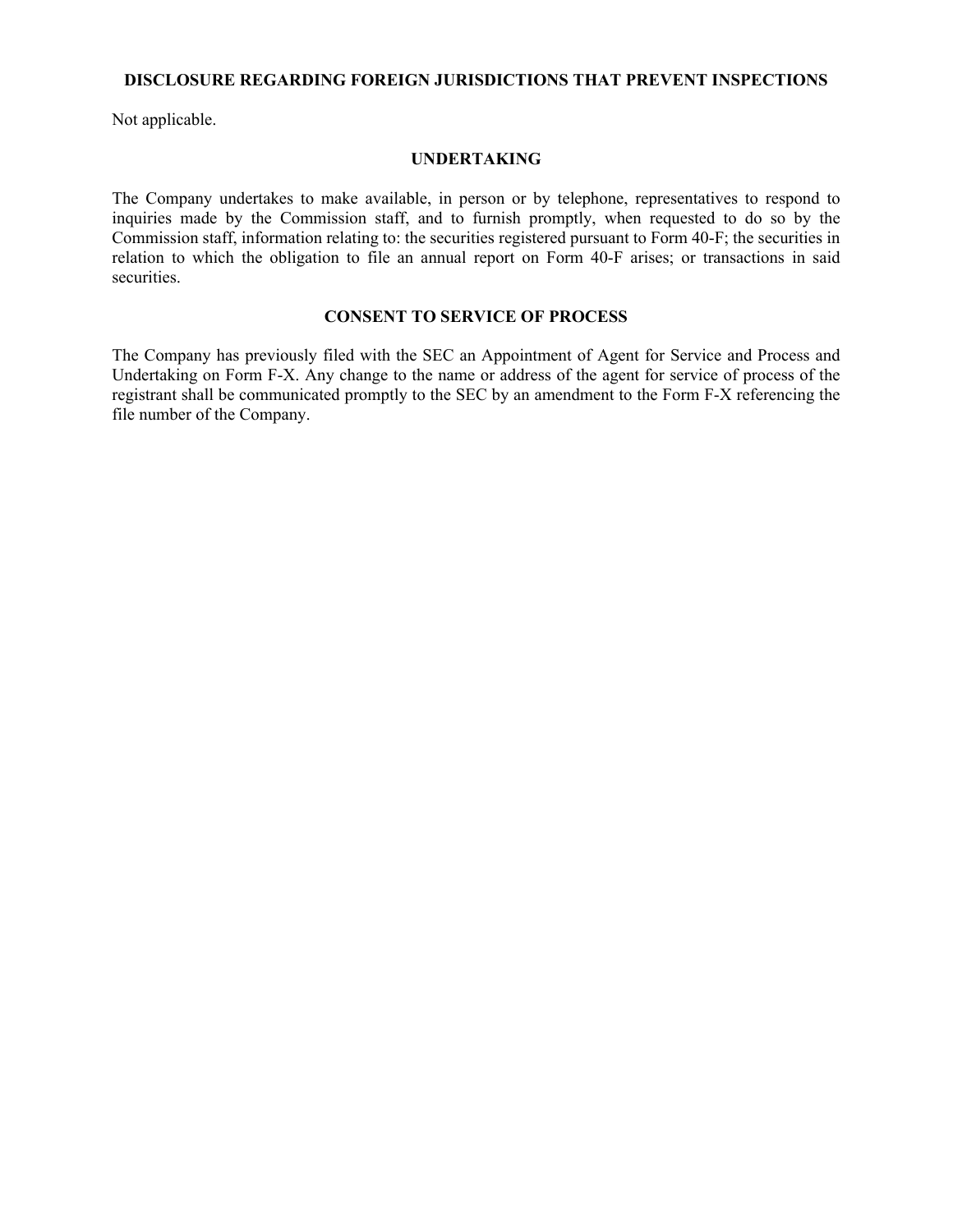#### **DISCLOSURE REGARDING FOREIGN JURISDICTIONS THAT PREVENT INSPECTIONS**

Not applicable.

#### **UNDERTAKING**

The Company undertakes to make available, in person or by telephone, representatives to respond to inquiries made by the Commission staff, and to furnish promptly, when requested to do so by the Commission staff, information relating to: the securities registered pursuant to Form 40-F; the securities in relation to which the obligation to file an annual report on Form 40-F arises; or transactions in said securities.

#### **CONSENT TO SERVICE OF PROCESS**

The Company has previously filed with the SEC an Appointment of Agent for Service and Process and Undertaking on Form F-X. Any change to the name or address of the agent for service of process of the registrant shall be communicated promptly to the SEC by an amendment to the Form F-X referencing the file number of the Company.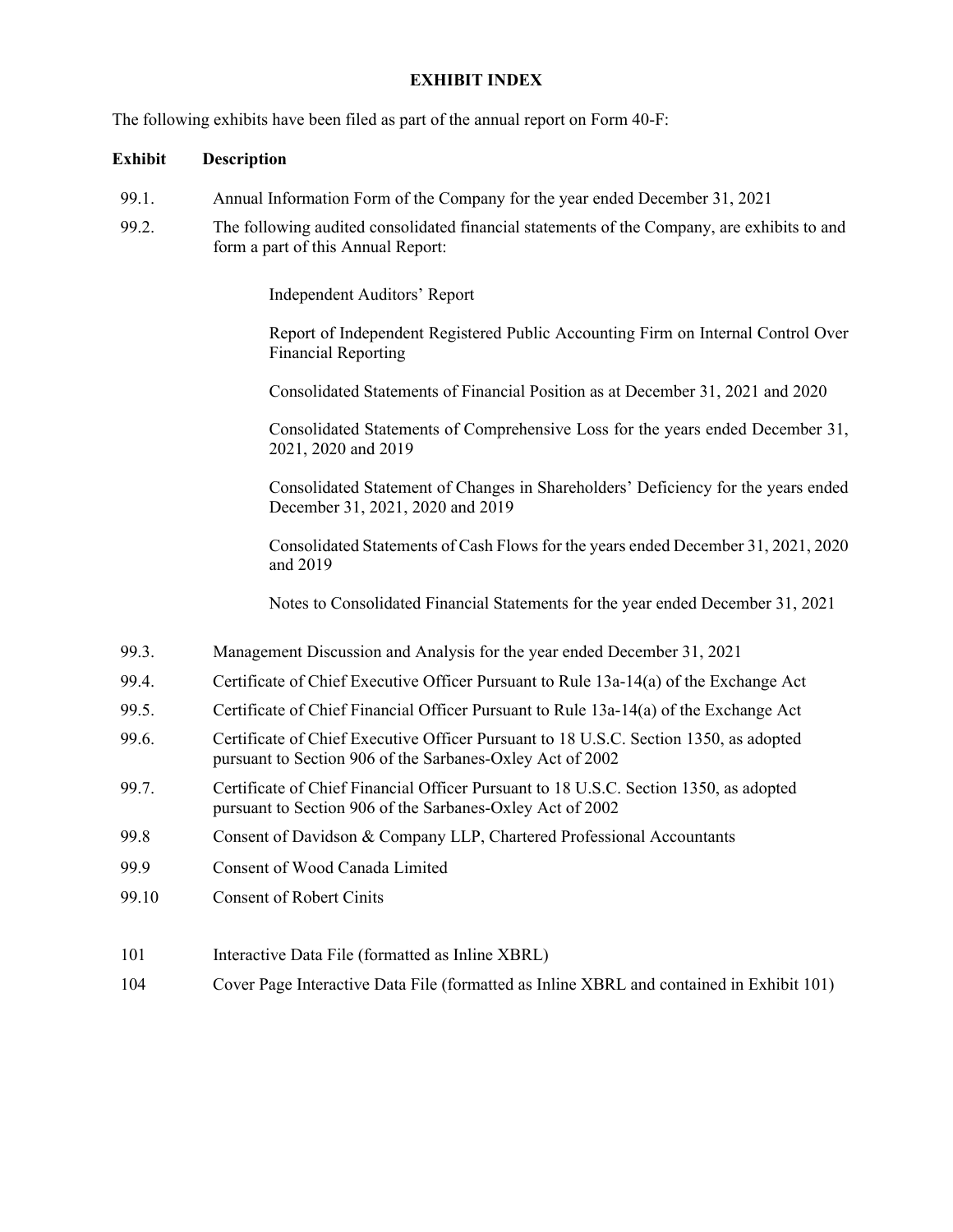#### **EXHIBIT INDEX**

The following exhibits have been filed as part of the annual report on Form 40-F:

#### **Exhibit Description**

- 99.1. Annual Information Form of the Company for the year ended December 31, 2021
- 99.2. The following audited consolidated financial statements of the Company, are exhibits to and form a part of this Annual Report:

Independent Auditors' Report

Report of Independent Registered Public Accounting Firm on Internal Control Over Financial Reporting

Consolidated Statements of Financial Position as at December 31, 2021 and 2020

Consolidated Statements of Comprehensive Loss for the years ended December 31, 2021, 2020 and 2019

Consolidated Statement of Changes in Shareholders' Deficiency for the years ended December 31, 2021, 2020 and 2019

Consolidated Statements of Cash Flows for the years ended December 31, 2021, 2020 and 2019

Notes to Consolidated Financial Statements for the year ended December 31, 2021

- 99.3. Management Discussion and Analysis for the year ended December 31, 2021
- 99.4. Certificate of Chief Executive Officer Pursuant to Rule 13a-14(a) of the Exchange Act
- 99.5. Certificate of Chief Financial Officer Pursuant to Rule 13a-14(a) of the Exchange Act
- 99.6. Certificate of Chief Executive Officer Pursuant to 18 U.S.C. Section 1350, as adopted pursuant to Section 906 of the Sarbanes-Oxley Act of 2002
- 99.7. Certificate of Chief Financial Officer Pursuant to 18 U.S.C. Section 1350, as adopted pursuant to Section 906 of the Sarbanes-Oxley Act of 2002
- 99.8 Consent of Davidson & Company LLP, Chartered Professional Accountants
- 99.9 Consent of Wood Canada Limited
- 99.10 Consent of Robert Cinits
- 101 Interactive Data File (formatted as Inline XBRL)
- 104 Cover Page Interactive Data File (formatted as Inline XBRL and contained in Exhibit 101)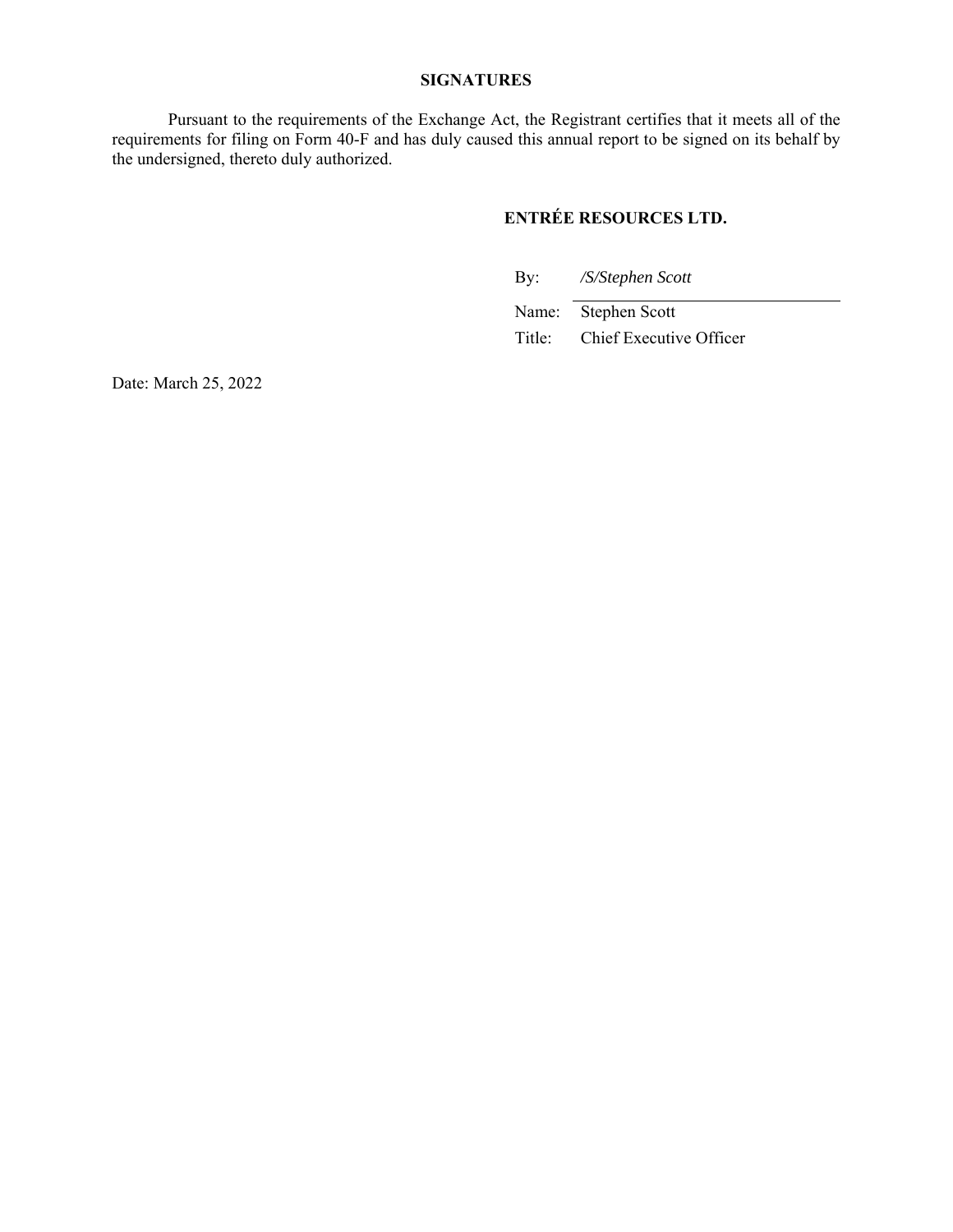#### **SIGNATURES**

Pursuant to the requirements of the Exchange Act, the Registrant certifies that it meets all of the requirements for filing on Form 40-F and has duly caused this annual report to be signed on its behalf by the undersigned, thereto duly authorized.

## **ENTRÉE RESOURCES LTD.**

By: */S/Stephen Scott* 

Name: Stephen Scott Title: Chief Executive Officer

Date: March 25, 2022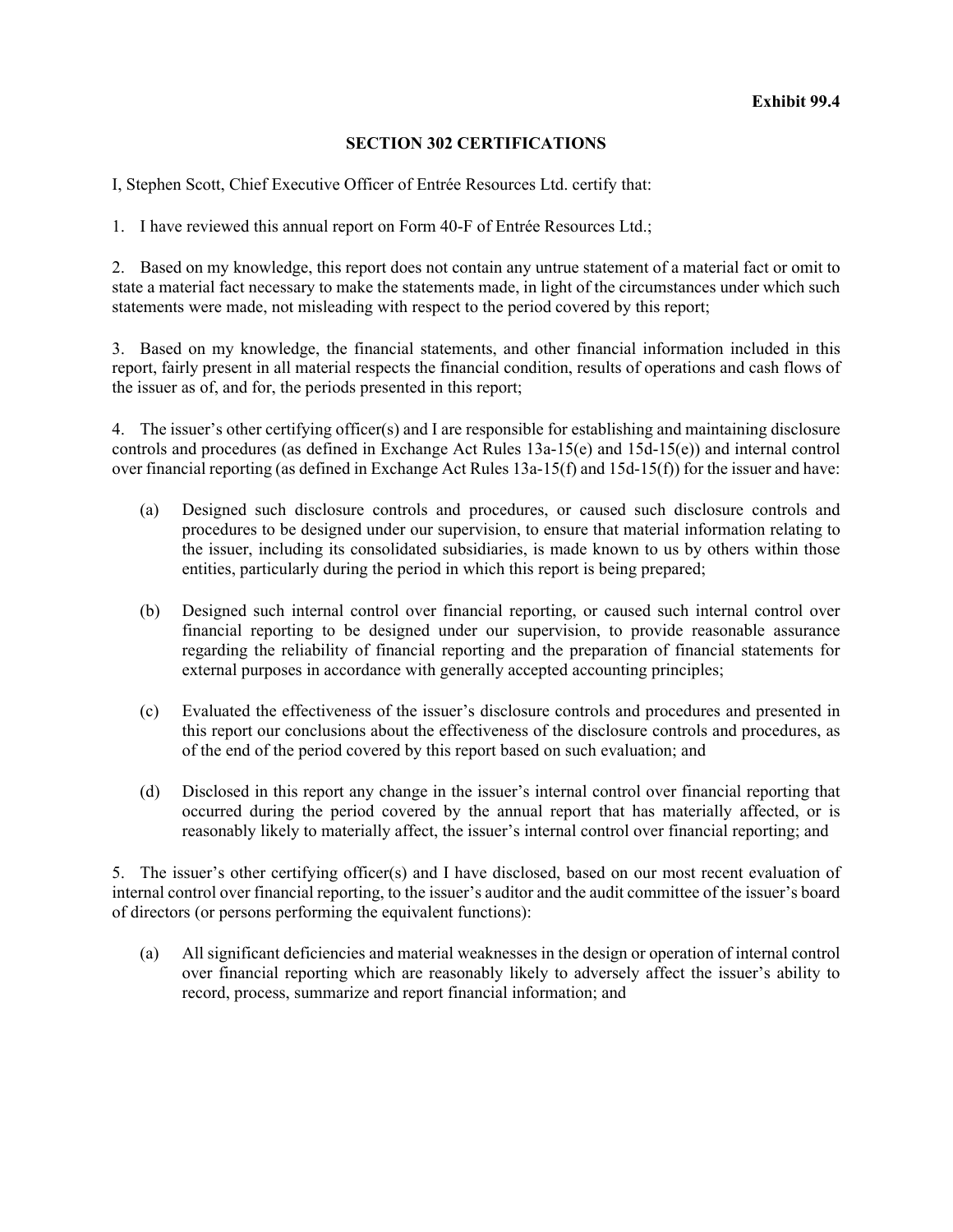#### **SECTION 302 CERTIFICATIONS**

I, Stephen Scott, Chief Executive Officer of Entrée Resources Ltd. certify that:

1. I have reviewed this annual report on Form 40-F of Entrée Resources Ltd.;

2. Based on my knowledge, this report does not contain any untrue statement of a material fact or omit to state a material fact necessary to make the statements made, in light of the circumstances under which such statements were made, not misleading with respect to the period covered by this report;

3. Based on my knowledge, the financial statements, and other financial information included in this report, fairly present in all material respects the financial condition, results of operations and cash flows of the issuer as of, and for, the periods presented in this report;

4. The issuer's other certifying officer(s) and I are responsible for establishing and maintaining disclosure controls and procedures (as defined in Exchange Act Rules 13a-15(e) and 15d-15(e)) and internal control over financial reporting (as defined in Exchange Act Rules 13a-15(f) and 15d-15(f)) for the issuer and have:

- (a) Designed such disclosure controls and procedures, or caused such disclosure controls and procedures to be designed under our supervision, to ensure that material information relating to the issuer, including its consolidated subsidiaries, is made known to us by others within those entities, particularly during the period in which this report is being prepared;
- (b) Designed such internal control over financial reporting, or caused such internal control over financial reporting to be designed under our supervision, to provide reasonable assurance regarding the reliability of financial reporting and the preparation of financial statements for external purposes in accordance with generally accepted accounting principles;
- (c) Evaluated the effectiveness of the issuer's disclosure controls and procedures and presented in this report our conclusions about the effectiveness of the disclosure controls and procedures, as of the end of the period covered by this report based on such evaluation; and
- (d) Disclosed in this report any change in the issuer's internal control over financial reporting that occurred during the period covered by the annual report that has materially affected, or is reasonably likely to materially affect, the issuer's internal control over financial reporting; and

5. The issuer's other certifying officer(s) and I have disclosed, based on our most recent evaluation of internal control over financial reporting, to the issuer's auditor and the audit committee of the issuer's board of directors (or persons performing the equivalent functions):

(a) All significant deficiencies and material weaknesses in the design or operation of internal control over financial reporting which are reasonably likely to adversely affect the issuer's ability to record, process, summarize and report financial information; and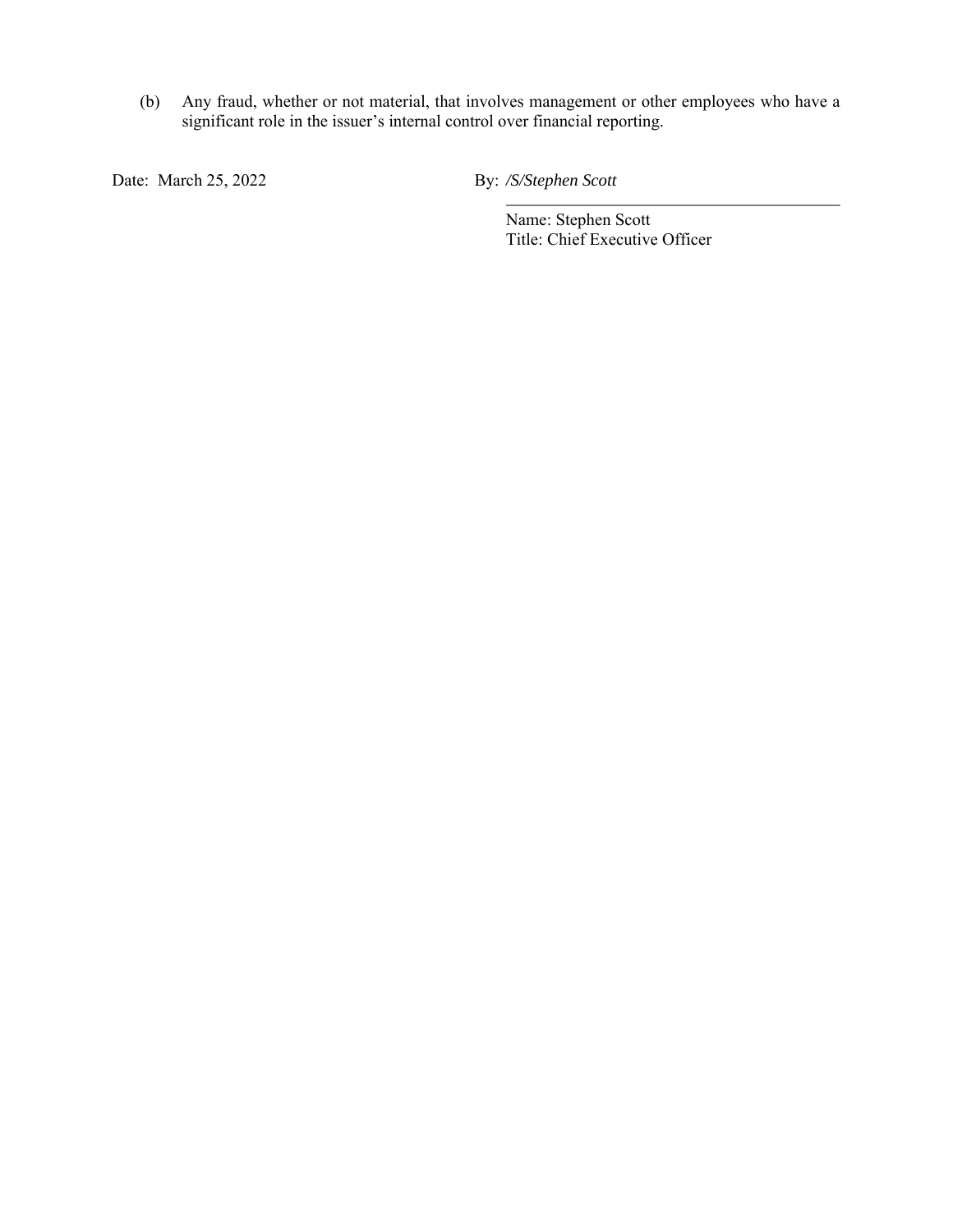(b) Any fraud, whether or not material, that involves management or other employees who have a significant role in the issuer's internal control over financial reporting.

Date: March 25, 2022 By: */S/Stephen Scott* 

Name: Stephen Scott Title: Chief Executive Officer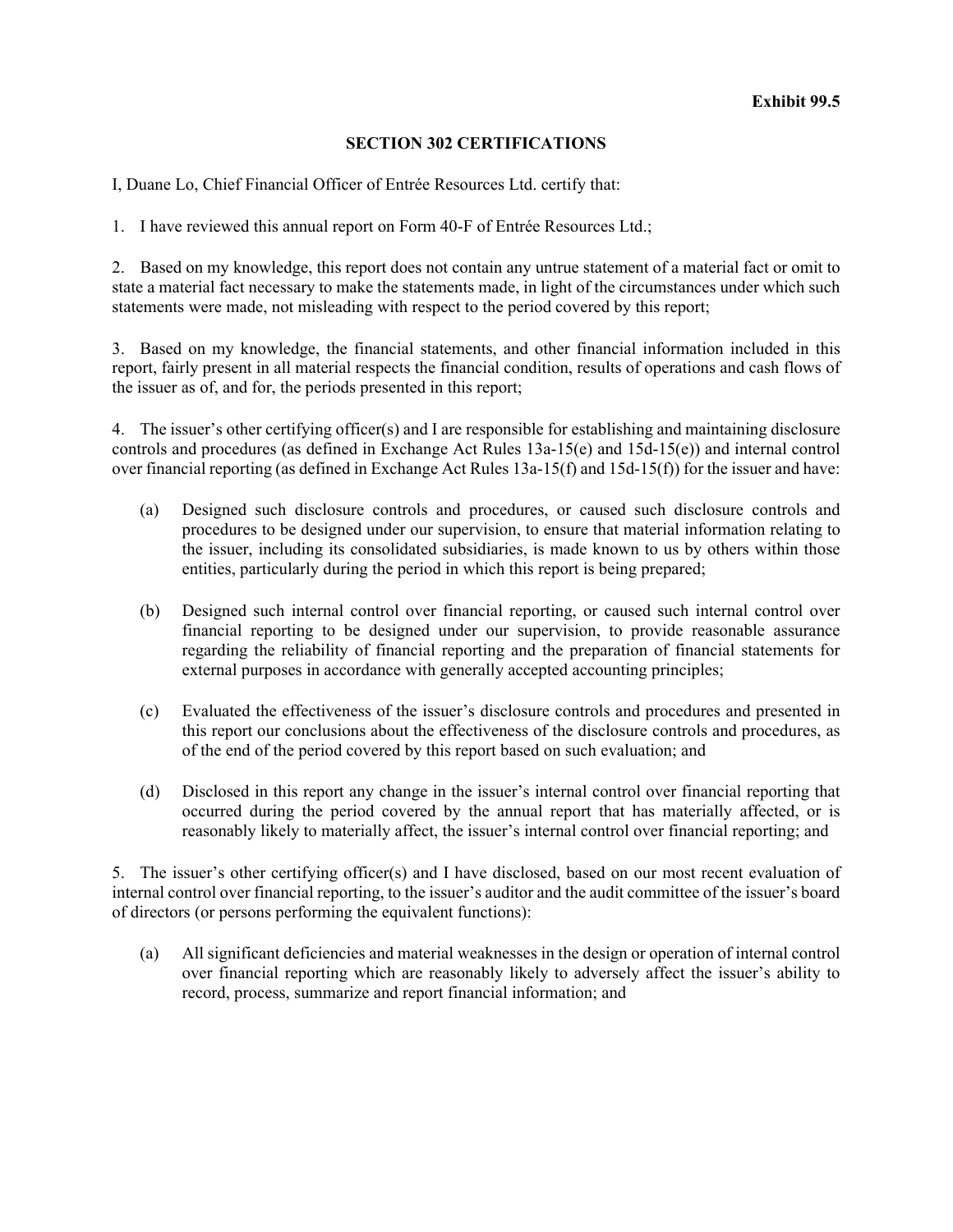#### **SECTION 302 CERTIFICATIONS**

I, Duane Lo, Chief Financial Officer of Entrée Resources Ltd. certify that:

1. I have reviewed this annual report on Form 40-F of Entrée Resources Ltd.;

2. Based on my knowledge, this report does not contain any untrue statement of a material fact or omit to state a material fact necessary to make the statements made, in light of the circumstances under which such statements were made, not misleading with respect to the period covered by this report;

3. Based on my knowledge, the financial statements, and other financial information included in this report, fairly present in all material respects the financial condition, results of operations and cash flows of the issuer as of, and for, the periods presented in this report;

4. The issuer's other certifying officer(s) and I are responsible for establishing and maintaining disclosure controls and procedures (as defined in Exchange Act Rules 13a-15(e) and 15d-15(e)) and internal control over financial reporting (as defined in Exchange Act Rules 13a-15(f) and 15d-15(f)) for the issuer and have:

- (a) Designed such disclosure controls and procedures, or caused such disclosure controls and procedures to be designed under our supervision, to ensure that material information relating to the issuer, including its consolidated subsidiaries, is made known to us by others within those entities, particularly during the period in which this report is being prepared;
- (b) Designed such internal control over financial reporting, or caused such internal control over financial reporting to be designed under our supervision, to provide reasonable assurance regarding the reliability of financial reporting and the preparation of financial statements for external purposes in accordance with generally accepted accounting principles;
- (c) Evaluated the effectiveness of the issuer's disclosure controls and procedures and presented in this report our conclusions about the effectiveness of the disclosure controls and procedures, as of the end of the period covered by this report based on such evaluation; and
- (d) Disclosed in this report any change in the issuer's internal control over financial reporting that occurred during the period covered by the annual report that has materially affected, or is reasonably likely to materially affect, the issuer's internal control over financial reporting; and

5. The issuer's other certifying officer(s) and I have disclosed, based on our most recent evaluation of internal control over financial reporting, to the issuer's auditor and the audit committee of the issuer's board of directors (or persons performing the equivalent functions):

(a) All significant deficiencies and material weaknesses in the design or operation of internal control over financial reporting which are reasonably likely to adversely affect the issuer's ability to record, process, summarize and report financial information; and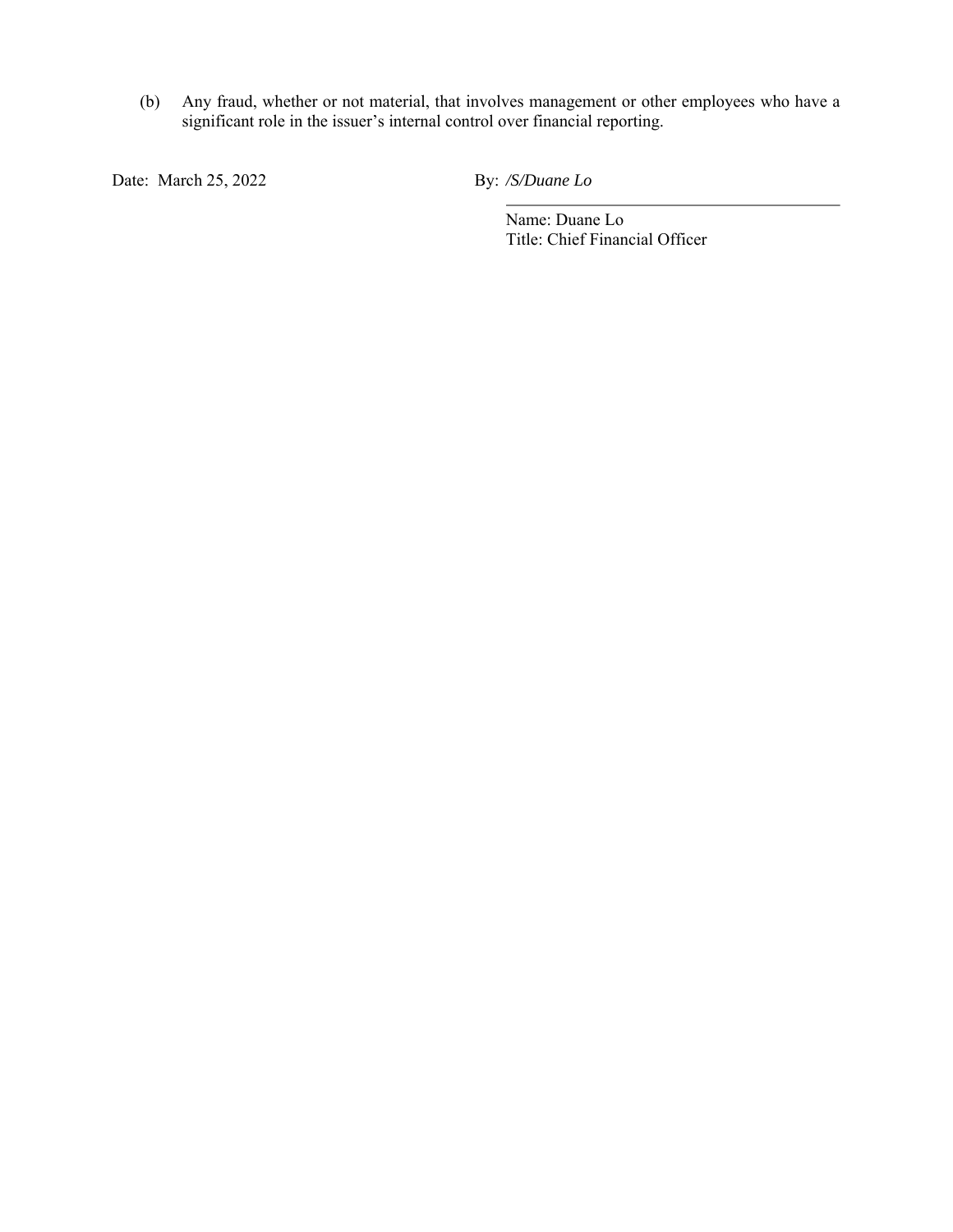(b) Any fraud, whether or not material, that involves management or other employees who have a significant role in the issuer's internal control over financial reporting.

Date: March 25, 2022 By: */S/Duane Lo*

Name: Duane Lo Title: Chief Financial Officer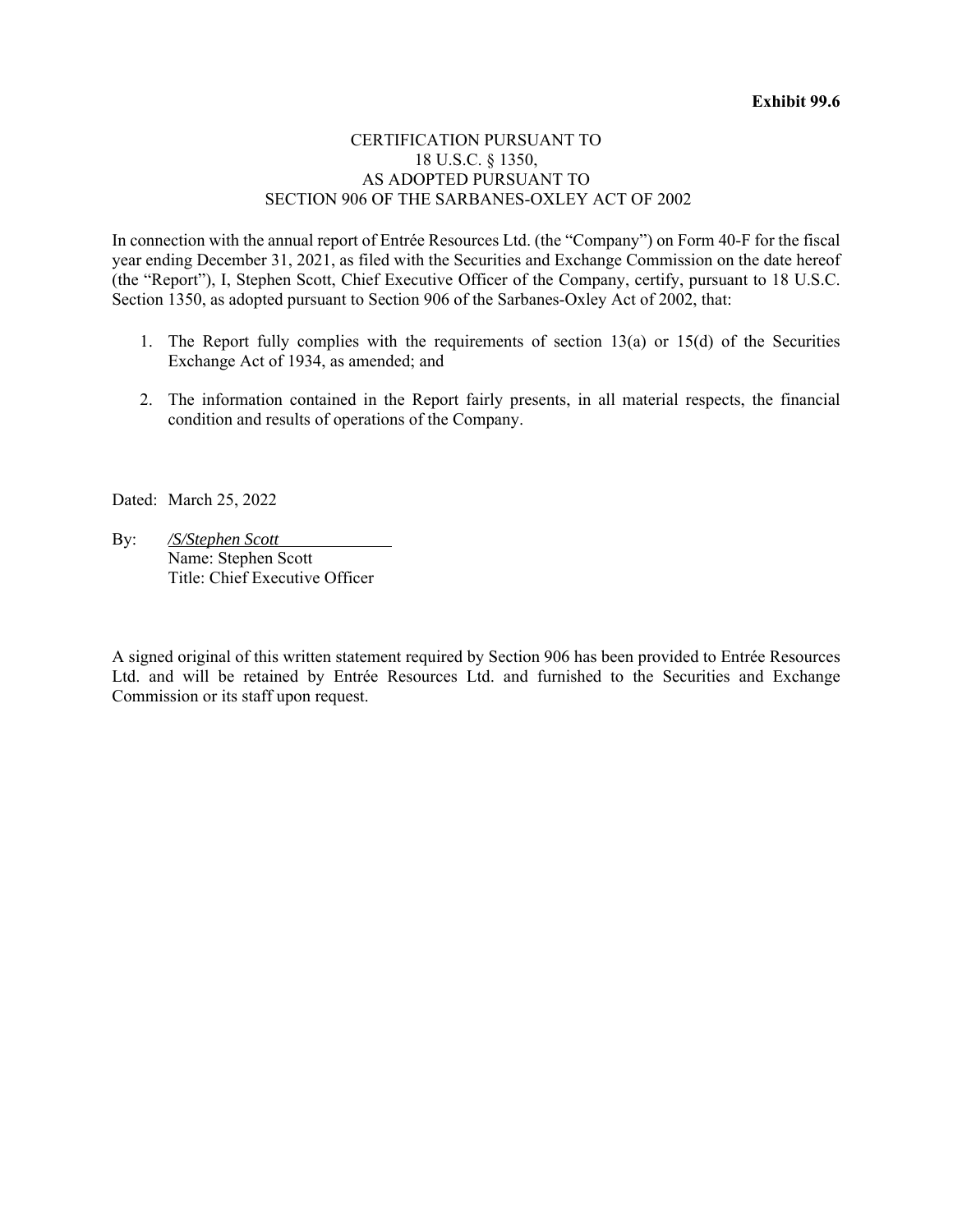#### CERTIFICATION PURSUANT TO 18 U.S.C. § 1350, AS ADOPTED PURSUANT TO SECTION 906 OF THE SARBANES-OXLEY ACT OF 2002

In connection with the annual report of Entrée Resources Ltd. (the "Company") on Form 40-F for the fiscal year ending December 31, 2021, as filed with the Securities and Exchange Commission on the date hereof (the "Report"), I, Stephen Scott, Chief Executive Officer of the Company, certify, pursuant to 18 U.S.C. Section 1350, as adopted pursuant to Section 906 of the Sarbanes-Oxley Act of 2002, that:

- 1. The Report fully complies with the requirements of section  $13(a)$  or  $15(d)$  of the Securities Exchange Act of 1934, as amended; and
- 2. The information contained in the Report fairly presents, in all material respects, the financial condition and results of operations of the Company.

Dated: March 25, 2022

By: */S/Stephen Scott*  Name: Stephen Scott Title: Chief Executive Officer

A signed original of this written statement required by Section 906 has been provided to Entrée Resources Ltd. and will be retained by Entrée Resources Ltd. and furnished to the Securities and Exchange Commission or its staff upon request.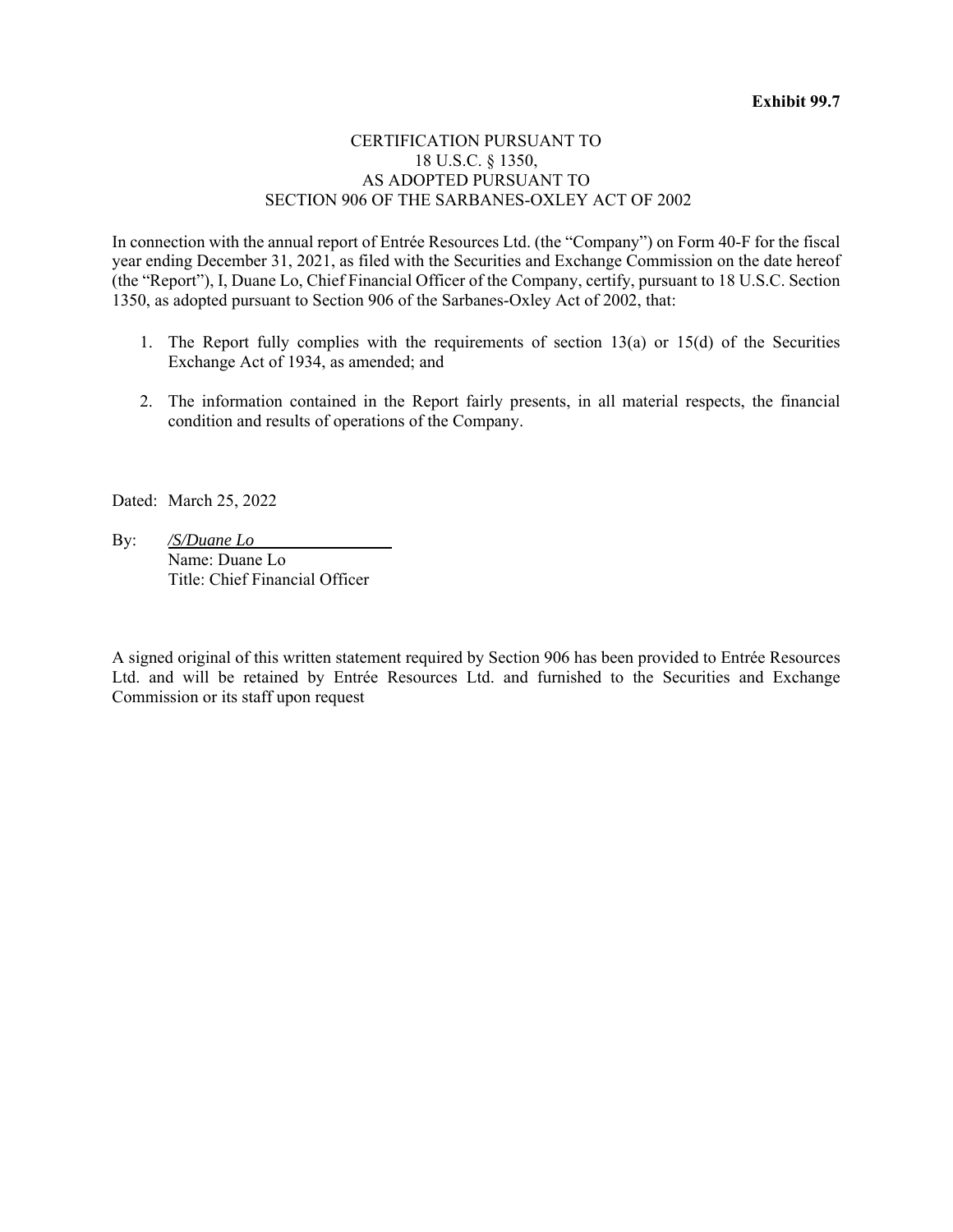#### CERTIFICATION PURSUANT TO 18 U.S.C. § 1350, AS ADOPTED PURSUANT TO SECTION 906 OF THE SARBANES-OXLEY ACT OF 2002

In connection with the annual report of Entrée Resources Ltd. (the "Company") on Form 40-F for the fiscal year ending December 31, 2021, as filed with the Securities and Exchange Commission on the date hereof (the "Report"), I, Duane Lo, Chief Financial Officer of the Company, certify, pursuant to 18 U.S.C. Section 1350, as adopted pursuant to Section 906 of the Sarbanes-Oxley Act of 2002, that:

- 1. The Report fully complies with the requirements of section  $13(a)$  or  $15(d)$  of the Securities Exchange Act of 1934, as amended; and
- 2. The information contained in the Report fairly presents, in all material respects, the financial condition and results of operations of the Company.

Dated: March 25, 2022

By: */S/Duane Lo*  Name: Duane Lo Title: Chief Financial Officer

A signed original of this written statement required by Section 906 has been provided to Entrée Resources Ltd. and will be retained by Entrée Resources Ltd. and furnished to the Securities and Exchange Commission or its staff upon request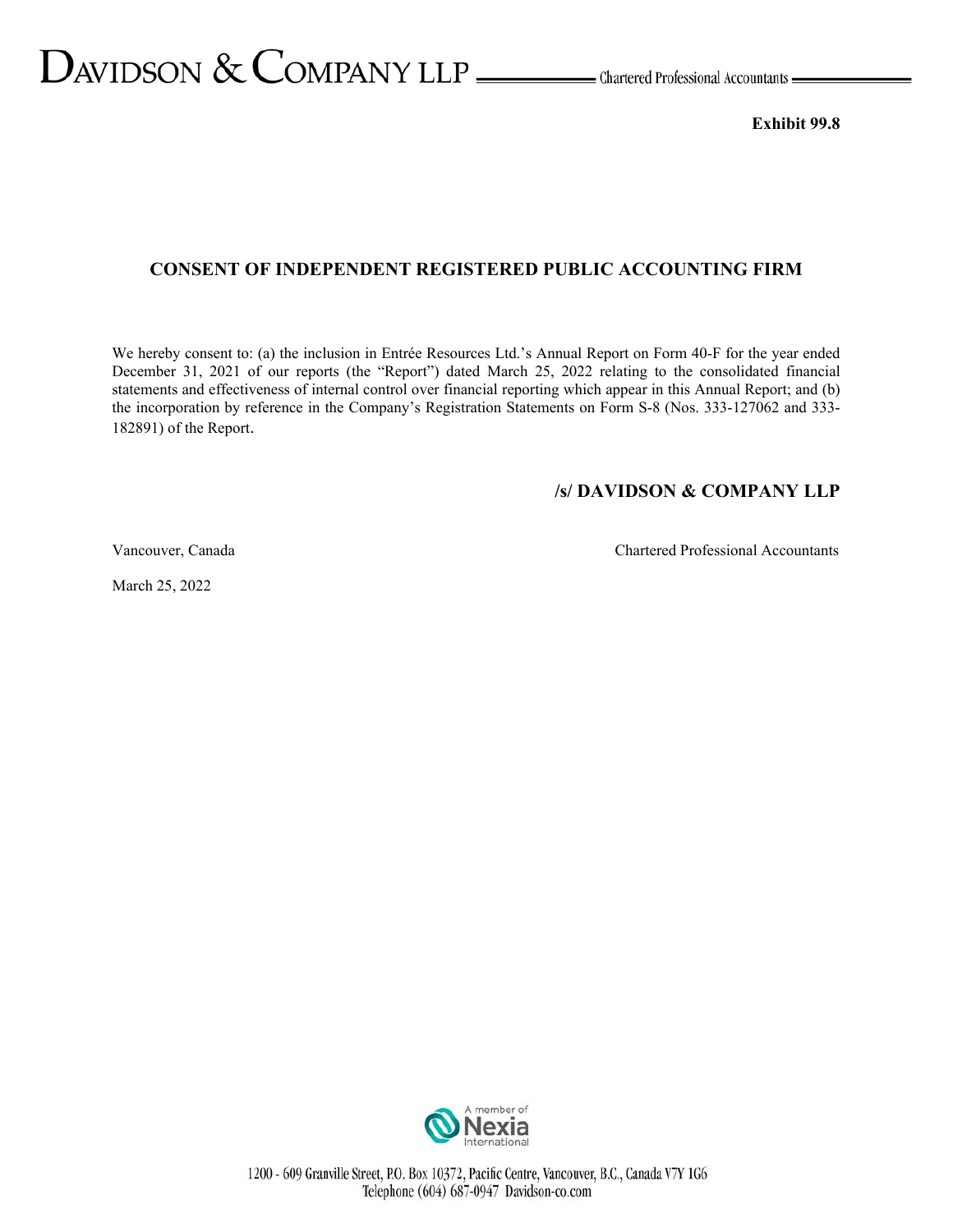# $D$ AVIDSON  $\&$  COMPANY LLP  $\_\_\_\_\$ Chartered Professional Accountants

**Exhibit 99.8** 

#### **CONSENT OF INDEPENDENT REGISTERED PUBLIC ACCOUNTING FIRM**

We hereby consent to: (a) the inclusion in Entrée Resources Ltd.'s Annual Report on Form 40-F for the year ended December 31, 2021 of our reports (the "Report") dated March 25, 2022 relating to the consolidated financial statements and effectiveness of internal control over financial reporting which appear in this Annual Report; and (b) the incorporation by reference in the Company's Registration Statements on Form S-8 (Nos. 333-127062 and 333- 182891) of the Report.

#### **/s/ DAVIDSON & COMPANY LLP**

Vancouver, Canada Chartered Professional Accountants

March 25, 2022

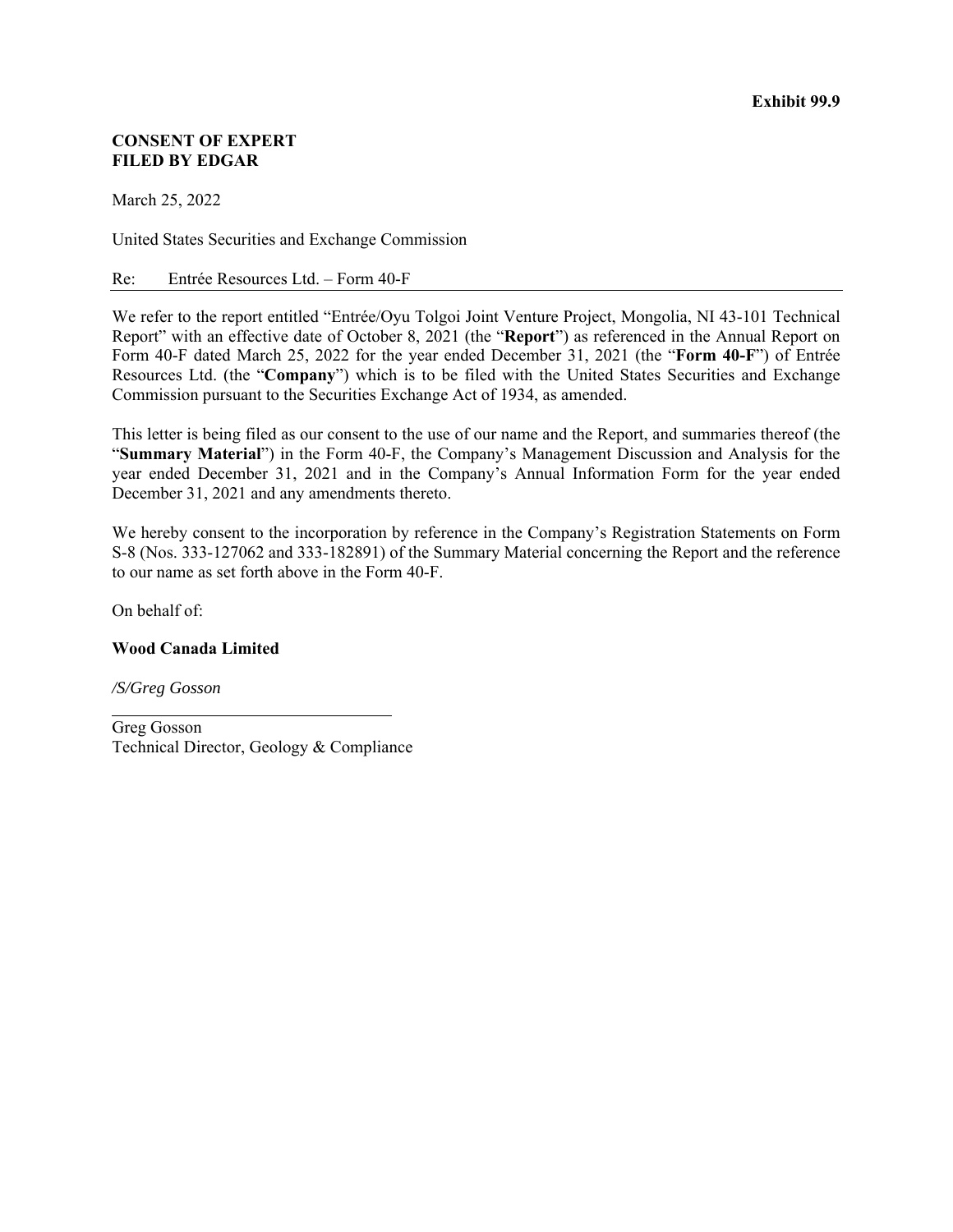#### **CONSENT OF EXPERT FILED BY EDGAR**

March 25, 2022

United States Securities and Exchange Commission

#### Re: Entrée Resources Ltd. – Form 40-F

We refer to the report entitled "Entrée/Oyu Tolgoi Joint Venture Project, Mongolia, NI 43-101 Technical Report" with an effective date of October 8, 2021 (the "**Report**") as referenced in the Annual Report on Form 40-F dated March 25, 2022 for the year ended December 31, 2021 (the "**Form 40-F**") of Entrée Resources Ltd. (the "**Company**") which is to be filed with the United States Securities and Exchange Commission pursuant to the Securities Exchange Act of 1934, as amended.

This letter is being filed as our consent to the use of our name and the Report, and summaries thereof (the "**Summary Material**") in the Form 40-F, the Company's Management Discussion and Analysis for the year ended December 31, 2021 and in the Company's Annual Information Form for the year ended December 31, 2021 and any amendments thereto.

We hereby consent to the incorporation by reference in the Company's Registration Statements on Form S-8 (Nos. 333-127062 and 333-182891) of the Summary Material concerning the Report and the reference to our name as set forth above in the Form 40-F.

On behalf of:

#### **Wood Canada Limited**

*/S/Greg Gosson* 

Greg Gosson Technical Director, Geology & Compliance